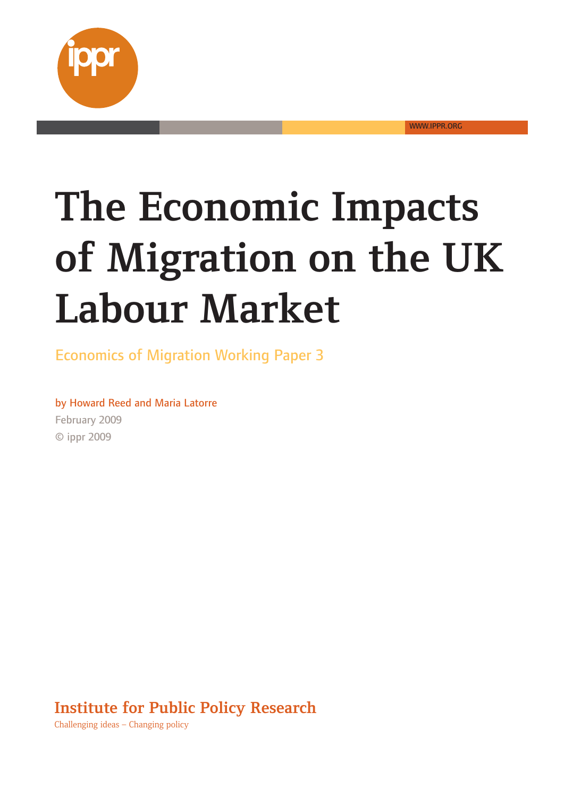

WWW.IPPR.ORG

# **The Impact Section**  $\overline{AB}$ **Tahour Market the-UK**

**Laboured**<br> **Labouries Contains Contains the Conomics of Migration Working-Paper 3** 

by Howard Reed and Maria Latorre February-2009 ©-ippr-2009

**Policy-Research-**

**Institute-for-Public-**Challenging-ideas-– Changing-policy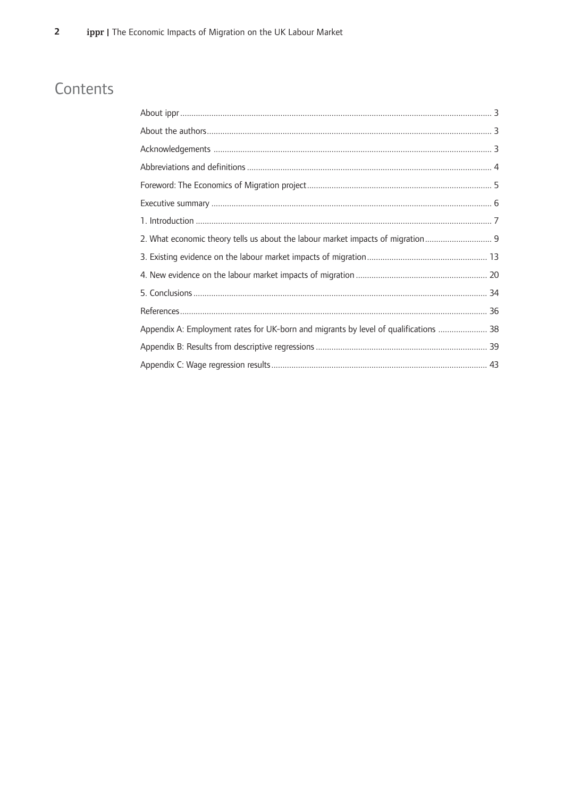## Contents

| 2. What economic theory tells us about the labour market impacts of migration        |  |
|--------------------------------------------------------------------------------------|--|
|                                                                                      |  |
|                                                                                      |  |
|                                                                                      |  |
|                                                                                      |  |
| Appendix A: Employment rates for UK-born and migrants by level of qualifications  38 |  |
|                                                                                      |  |
|                                                                                      |  |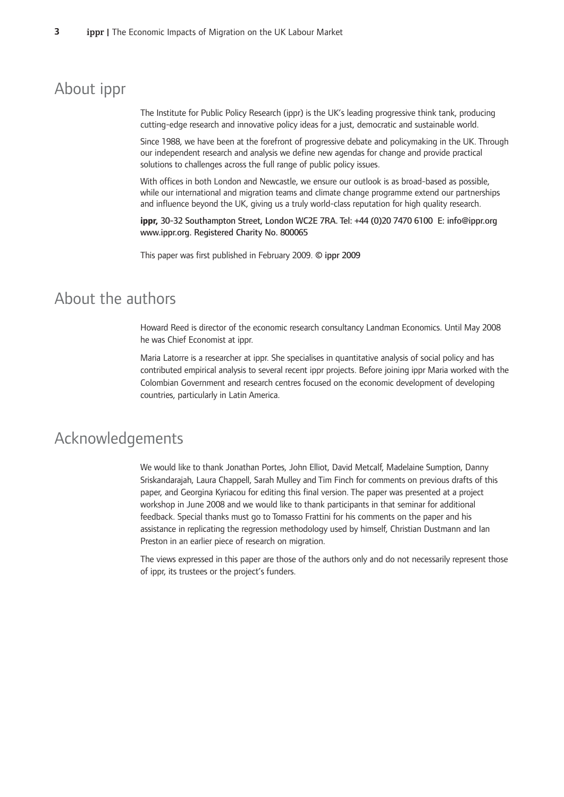## About ippr

The Institute for Public Policy Research (ippr) is the UK's leading progressive think tank, producing cutting-edge research and innovative policy ideas for a just, democratic and sustainable world.

Since 1988, we have been at the forefront of progressive debate and policymaking in the UK. Through our independent research and analysis we define new agendas for change and provide practical solutions to challenges across the full range of public policy issues.

With offices in both London and Newcastle, we ensure our outlook is as broad-based as possible, while our international and migration teams and climate change programme extend our partnerships and influence beyond the UK, giving us a truly world-class reputation for high quality research.

ippr, 30-32 Southampton Street, London WC2E 7RA. Tel: +44 (0)20 7470 6100 E: info@ippr.org www.ippr.org. Registered Charity No. 800065

This paper was first published in February 2009. © ippr 2009

## About the authors

Howard Reed is director of the economic research consultancy Landman Economics. Until May 2008 he was Chief Economist at ippr.

Maria Latorre is a researcher at ippr. She specialises in quantitative analysis of social policy and has contributed empirical analysis to several recent ippr projects. Before joining ippr Maria worked with the Colombian Government and research centres focused on the economic development of developing countries, particularly in Latin America.

## Acknowledgements

We would like to thank Jonathan Portes, John Elliot, David Metcalf, Madelaine Sumption, Danny Sriskandarajah, Laura Chappell, Sarah Mulley and Tim Finch for comments on previous drafts of this paper, and Georgina Kyriacou for editing this final version. The paper was presented at a project workshop in June 2008 and we would like to thank participants in that seminar for additional feedback. Special thanks must go to Tomasso Frattini for his comments on the paper and his assistance in replicating the regression methodology used by himself, Christian Dustmann and lan Preston in an earlier piece of research on migration.

The views expressed in this paper are those of the authors only and do not necessarily represent those of ippr, its trustees or the project's funders.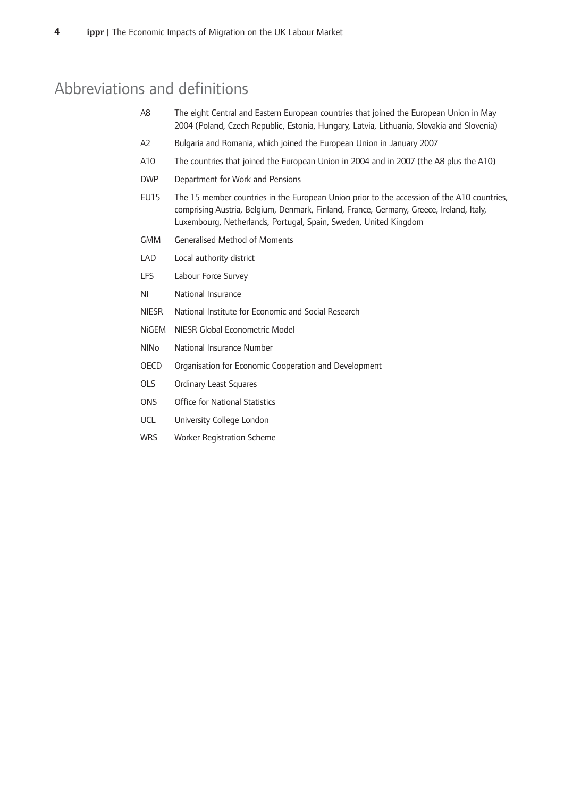## Abbreviations and definitions

- A8 The eight Central and Eastern European countries that joined the European Union in May 2004 (Poland, Czech Republic, Estonia, Hungary, Latvia, Lithuania, Slovakia and Slovenia)
- A2 Bulgaria and Romania, which joined the European Union in January 2007
- A10 The countries that joined the European Union in 2004 and in 2007 (the A8 plus the A10)
- DWP Department for Work and Pensions
- $EUI5$ 15 member countries in the European Union prior to the accession of the A10 countries, comprising Austria, Belgium, Denmark, Finland, France, Germany, Greece, Ireland, Italy, Luxembourg, Netherlands, Portugal, Spain, Sweden, United Kingdom
- GMM Generalised Method of Moments
- LAD Local authority district
- LFS Labour Force Survey
- NI National Insurance
- NIESR National Institute for Economic and Social Research
- NiGEM NIESR Global Econometric Model
- NINo National Insurance Number
- OECD Organisation for Economic Cooperation and Development
- OLS Ordinary Least Squares
- ONS Office for National Statistics
- UCL University College London
- WRS VVorker Registration Scheme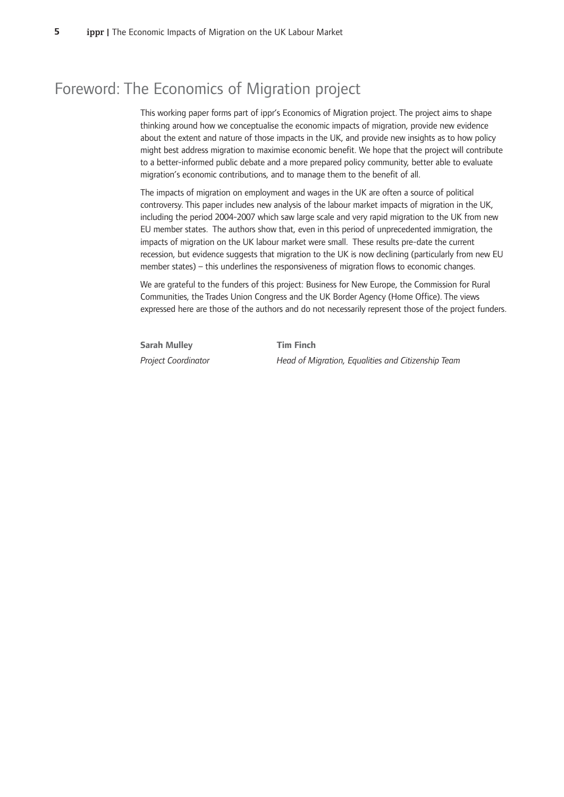## Foreword: The Economics of Migration project

This working paper forms part of ippr's Economics of Migration project. The project aims to shape thinking around how we conceptualise the economic impacts of migration, provide new evidence about the extent and nature of those impacts in the UK, and provide new insights as to how policy might best address migration to maximise economic benefit. We hope that the project will contribute to a better-informed public debate and a more prepared policy community, better able to evaluate migration's economic contributions, and to manage them to the benefit of all.

The impacts of migration on employment and wages in the UK are often a source of political controversy. This paper includes new analysis of the labour market impacts of migration in the UK, including the period 2004-2007 which saw large scale and very rapid migration to the UK from new EU member states. The authors show that, even in this period of unprecedented immigration, the impacts of migration on the UK labour market were small. These results pre-date the current recession, but evidence suggests that migration to the UK is now declining (particularly from new EU member states) – this underlines the responsiveness of migration flows to economic changes.

We are grateful to the funders of this project: Business for New Europe, the Commission for Rural Communities, the Trades Union Congress and the UK Border Agency (Home Office). The views expressed here are those of the authors and do not necessarily represent those of the project funders.

**Sarah Mulley**  Tim Project Coordinator **Head** 

**Finch** *of-Migration,-Equalities-and-Citizenship-Team*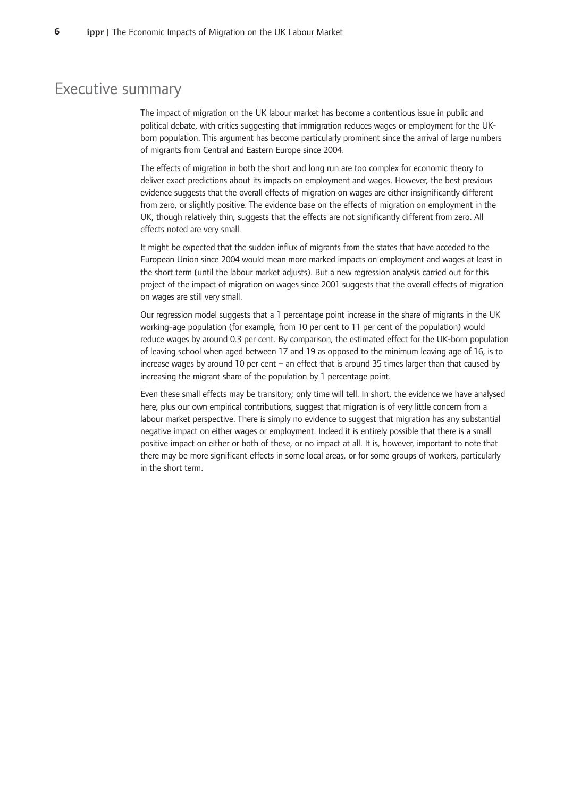## Executive summary

The impact of migration on the UK labour market has become a contentious issue in public and political debate, with critics suggesting that immigration reduces wages or employment for the UKborn population. This argument has become particularly prominent since the arrival of large numbers of migrants from Central and Eastern Europe since 2004.

The effects of migration in both the short and long run are too complex for economic theory to deliver exact predictions about its impacts on employment and wages. However, the best previous evidence suggests that the overall effects of migration on wages are either insignificantly different from zero, or slightly positive. The evidence base on the effects of migration on employment in the UK, though relatively thin, suggests that the effects are not significantly different from zero. All effects noted are very small.

It might be expected that the sudden influx of migrants from the states that have acceded to the European Union since 2004 would mean more marked impacts on employment and wages at least in the short term (until the labour market adjusts). But a new regression analysis carried out for this project of the impact of migration on wages since 2001 suggests that the overall effects of migration on wages are still very small.

Our regression model suggests that a 1 percentage point increase in the share of migrants in the UK working-age population (for example, from 10 per cent to 11 per cent of the population) would reduce wages by around 0.3 per cent. By comparison, the estimated effect for the UK-born population of leaving school when aged between 17 and 19 as opposed to the minimum leaving age of 16, is to increase wages by around 10 per cent – an effect that is around 35 times larger than that caused by increasing the migrant share of the population by 1 percentage point.

Even these small effects may be transitory; only time will tell. In short, the evidence we have analysed here, plus our own empirical contributions, suggest that migration is of very little concern from a labour market perspective. There is simply no evidence to suggest that migration has any substantial negative impact on either wages or employment. Indeed it is entirely possible that there is a small positive impact on either or both of these, or no impact at all. It is, however, important to note that there may be more significant effects in some local areas, or for some groups of workers, particularly in the short term.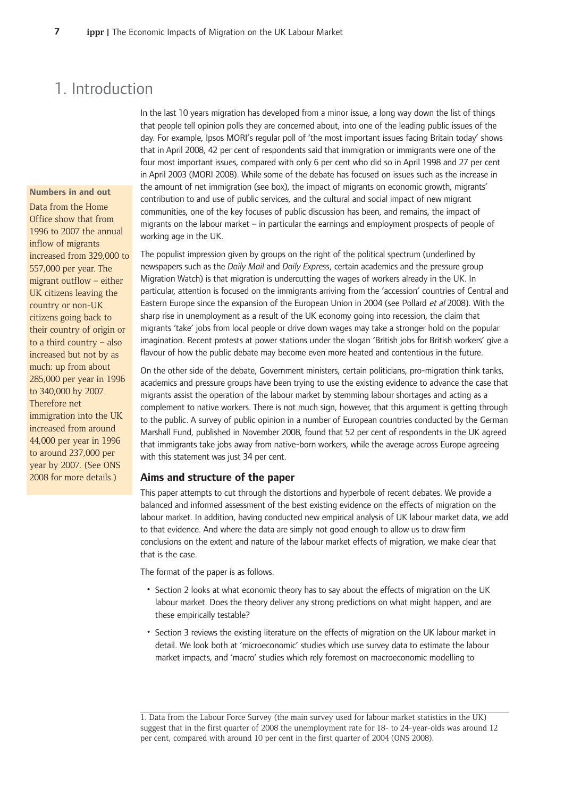## 1. Introduction

#### **Numbers in and out**

Data from the Home Office show that from 1996 to 2007 the annual inflow-of-migrants increased-from-329,000-to 557,000 per year. The migrant outflow – either UK citizens leaving the country or non-UK citizens-going-back-to their country of origin or to a third country – also increased but not by as much: up from about 285,000 per year in 1996 to 340,000 by 2007. Therefore net immigration into the UK increased from around 44,000 per year in 1996 to around 237,000 per year by 2007. (See ONS 2008 for more details.)

In the last 10 years migration has developed from a minor issue, a long way down the list of things that people tell opinion polls they are concerned about, into one of the leading public issues of the day. For example, Ipsos MORI's regular poll of 'the most important issues facing Britain today' shows that in April 2008, 42 per cent of respondents said that immigration or immigrants were one of the four most important issues, compared with only 6 per cent who did so in April 1998 and 27 per cent in April 2003 (MORI 2008). While some of the debate has focused on issues such as the increase in the amount of net immigration (see box), the impact of migrants on economic growth, migrants' contribution to and use of public services, and the cultural and social impact of new migrant communities, one of the key focuses of public discussion has been, and remains, the impact of migrants on the labour market – in particular the earnings and employment prospects of people of working age in the UK.

The populist impression given by groups on the right of the political spectrum (underlined by newspapers such as the *Daily Mail* and *Daily Express*, certain academics and the pressure group Migration Watch) is that migration is undercutting the wages of workers already in the UK. In particular, attention is focused on the immigrants arriving from the 'accession' countries of Central and Eastern Europe since the expansion of the European Union in 2004 (see Pollard et al 2008). With the sharp rise in unemployment as a result of the UK economy going into recession, the claim that migrants 'take' jobs from local people or drive down wages may take a stronger hold on the popular imagination. Recent protests at power stations under the slogan 'British jobs for British workers' give a flavour of how the public debate may become even more heated and contentious in the future.

On the other side of the debate, Government ministers, certain politicians, pro-migration think tanks, academics and pressure groups have been trying to use the existing evidence to advance the case that migrants assist the operation of the labour market by stemming labour shortages and acting as a complement to native workers. There is not much sign, however, that this argument is getting through to the public. A survey of public opinion in a number of European countries conducted by the German Marshall Fund, published in November 2008, found that 52 per cent of respondents in the UK agreed that immigrants take jobs away from native-born workers, while the average across Europe agreeing with this statement was just 34 per cent.

#### **Aims-and-structure-of-the-paper**

This paper attempts to cut through the distortions and hyperbole of recent debates. We provide a balanced and informed assessment of the best existing evidence on the effects of migration on the labour market. In addition, having conducted new empirical analysis of UK labour market data, we add to that evidence. And where the data are simply not good enough to allow us to draw firm conclusions on the extent and nature of the labour market effects of migration, we make clear that that is the case.

The format of the paper is as follows.

- Section 2 looks at what economic theory has to say about the effects of migration on the UK labour market. Does the theory deliver any strong predictions on what might happen, and are these empirically testable?
- Section 3 reviews the existing literature on the effects of migration on the UK labour market in detail. We look both at 'microeconomic' studies which use survey data to estimate the labour market impacts, and 'macro' studies which rely foremost on macroeconomic modelling to

<sup>1.</sup> Data from the Labour Force Survey (the main survey used for labour market statistics in the UK) suggest that in the first quarter of 2008 the unemployment rate for 18- to 24-year-olds was around 12 per cent, compared with around 10 per cent in the first quarter of 2004 (ONS 2008).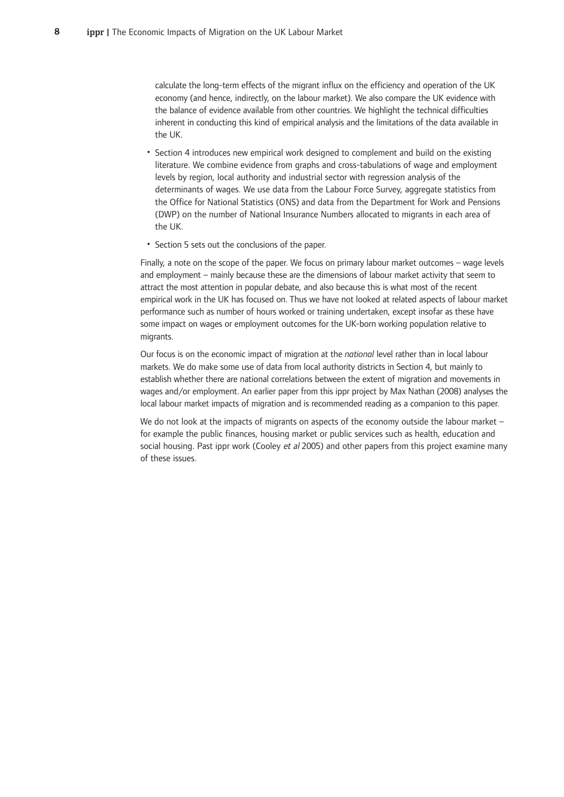calculate the long-term effects of the migrant influx on the efficiency and operation of the UK economy (and hence, indirectly, on the labour market). We also compare the UK evidence with the balance of evidence available from other countries. We highlight the technical difficulties inherent in conducting this kind of empirical analysis and the limitations of the data available in the UK.

- Section 4 introduces new empirical work designed to complement and build on the existing literature. We combine evidence from graphs and cross-tabulations of wage and employment levels by region, local authority and industrial sector with regression analysis of the determinants of wages. We use data from the Labour Force Survey, aggregate statistics from the Office for National Statistics (ONS) and data from the Department for Work and Pensions (DWP) on the number of National Insurance Numbers allocated to migrants in each area of the UK.
- Section 5 sets out the conclusions of the paper.

Finally, a note on the scope of the paper. We focus on primary labour market outcomes - wage levels and employment – mainly because these are the dimensions of labour market activity that seem to attract the most attention in popular debate, and also because this is what most of the recent empirical work in the UK has focused on. Thus we have not looked at related aspects of labour market performance such as number of hours worked or training undertaken, except insofar as these have some impact on wages or employment outcomes for the UK-born working population relative to migrants.

Our focus is on the economic impact of migration at the *national* level rather than in local labour markets. We do make some use of data from local authority districts in Section 4, but mainly to establish whether there are national correlations between the extent of migration and movements in wages and/or employment. An earlier paper from this ippr project by Max Nathan (2008) analyses the local labour market impacts of migration and is recommended reading as a companion to this paper.

We do not look at the impacts of migrants on aspects of the economy outside the labour market – for example the public finances, housing market or public services such as health, education and social housing. Past ippr work (Cooley *et al* 2005) and other papers from this project examine many of these issues.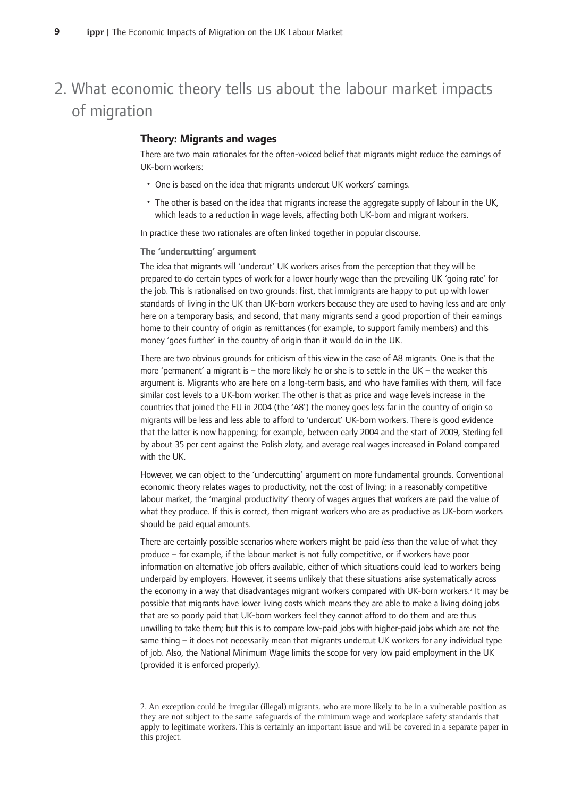# 2. What economic theory tells us about the labour market impacts of migration

#### **Theory: Migrants and wages**

There are two main rationales for the often-voiced belief that migrants might reduce the earnings of UK-born workers:

- One is based on the idea that migrants undercut UK workers' earnings.
- The other is based on the idea that migrants increase the aggregate supply of labour in the UK, which leads to a reduction in wage levels, affecting both UK-born and migrant workers.

In practice these two rationales are often linked together in popular discourse.

#### **The-'undercutting'-argument**

The idea that migrants will 'undercut' UK workers arises from the perception that they will be prepared to do certain types of work for a lower hourly wage than the prevailing UK 'going rate' for the job. This is rationalised on two grounds: first, that immigrants are happy to put up with lower standards of living in the UK than UK-born workers because they are used to having less and are only here on a temporary basis; and second, that many migrants send a good proportion of their earnings home to their country of origin as remittances (for example, to support family members) and this money 'goes further' in the country of origin than it would do in the UK.

There are two obvious grounds for criticism of this view in the case of A8 migrants. One is that the more 'permanent' a migrant is - the more likely he or she is to settle in the UK - the weaker this argument is. Migrants who are here on a long-term basis, and who have families with them, will face similar cost levels to a UK-born worker. The other is that as price and wage levels increase in the countries that joined the EU in 2004 (the 'A8') the money goes less far in the country of origin so migrants will be less and less able to afford to 'undercut' UK-born workers. There is good evidence that the latter is now happening; for example, between early 2004 and the start of 2009, Sterling fell by about 35 per cent against the Polish zloty, and average real wages increased in Poland compared with the UK.

However, we can object to the 'undercutting' argument on more fundamental grounds. Conventional economic theory relates wages to productivity, not the cost of living; in a reasonably competitive labour market, the 'marginal productivity' theory of wages argues that workers are paid the value of what they produce. If this is correct, then migrant workers who are as productive as UK-born workers should be paid equal amounts.

There are certainly possible scenarios where workers might be paid less than the value of what they produce – for example, if the labour market is not fully competitive, or if workers have poor information on alternative job offers available, either of which situations could lead to workers being underpaid by employers. However, it seems unlikely that these situations arise systematically across the economy in a way that disadvantages migrant workers compared with UK-born workers.<sup>2</sup> It may be possible that migrants have lower living costs which means they are able to make a living doing jobs that are so poorly paid that UK-born workers feel they cannot afford to do them and are thus unwilling to take them; but this is to compare low-paid jobs with higher-paid jobs which are not the same thing – it does not necessarily mean that migrants undercut UK workers for any individual type of job. Also, the National Minimum Wage limits the scope for very low paid employment in the UK (provided it is enforced properly).

<sup>2.</sup> An exception could be irregular (illegal) migrants, who are more likely to be in a vulnerable position as they are not subject to the same safeguards of the minimum wage and workplace safety standards that apply to legitimate workers. This is certainly an important issue and will be covered in a separate paper in this project.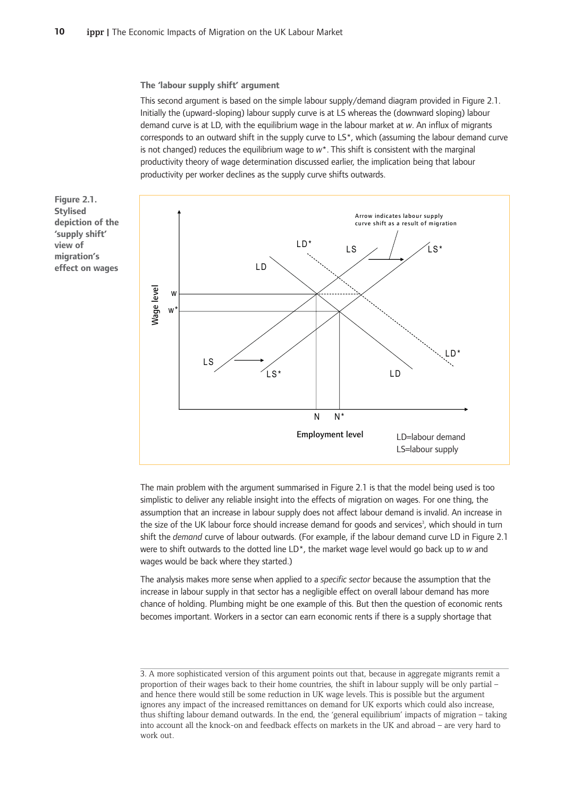**The-'labour-supply-shift'-argument**

This second argument is based on the simple labour supply/demand diagram provided in Figure 2.1. Initially the (upward-sloping) labour supply curve is at LS whereas the (downward sloping) labour demand curve is at LD, with the equilibrium wage in the labour market at w. An influx of migrants corresponds to an outward shift in the supply curve to  $LS<sup>*</sup>$ , which (assuming the labour demand curve is not changed) reduces the equilibrium wage to  $w^*$ . This shift is consistent with the marginal productivity theory of wage determination discussed earlier, the implication being that labour productivity per worker declines as the supply curve shifts outwards.

**Figure-2.1. Stylised depiction-of-the 'supply-shift' view-of migration's effect-on-wages**



The main problem with the argument summarised in Figure 2.1 is that the model being used is too simplistic to deliver any reliable insight into the effects of migration on wages. For one thing, the assumption that an increase in labour supply does not affect labour demand is invalid. An increase in the size of the UK labour force should increase demand for goods and services<sup>3</sup>, which should in turn shift the *demand* curve of labour outwards. (For example, if the labour demand curve LD in Figure 2.1 were to shift outwards to the dotted line LD<sup>\*</sup>, the market wage level would go back up to w and wages would be back where they started.)

The analysis makes more sense when applied to a specific sector because the assumption that the increase in labour supply in that sector has a negligible effect on overall labour demand has more chance of holding. Plumbing might be one example of this. But then the question of economic rents becomes important. Workers in a sector can earn economic rents if there is a supply shortage that

<sup>3.</sup> A more sophisticated version of this argument points out that, because in aggregate migrants remit a proportion of their wages back to their home countries, the shift in labour supply will be only partial and hence there would still be some reduction in UK wage levels. This is possible but the argument ignores any impact of the increased remittances on demand for UK exports which could also increase, thus shifting labour demand outwards. In the end, the 'general equilibrium' impacts of migration – taking into account all the knock-on and feedback effects on markets in the UK and abroad – are very hard to work out.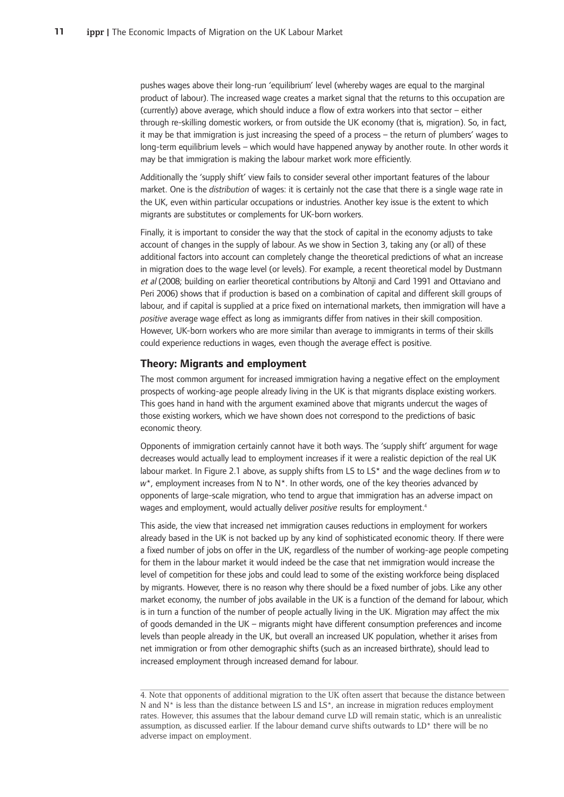pushes wages above their long-run 'equilibrium' level (whereby wages are equal to the marginal product of labour). The increased wage creates a market signal that the returns to this occupation are (currently) above average, which should induce a flow of extra workers into that sector - either through re-skilling domestic workers, or from outside the UK economy (that is, migration). So, in fact, it may be that immigration is just increasing the speed of a process – the return of plumbers' wages to long-term equilibrium levels - which would have happened anyway by another route. In other words it may be that immigration is making the labour market work more efficiently.

Additionally the 'supply shift' view fails to consider several other important features of the labour market. One is the *distribution* of wages: it is certainly not the case that there is a single wage rate in the UK, even within particular occupations or industries. Another key issue is the extent to which migrants are substitutes or complements for UK-born workers.

Finally, it is important to consider the way that the stock of capital in the economy adjusts to take account of changes in the supply of labour. As we show in Section 3, taking any (or all) of these additional factors into account can completely change the theoretical predictions of what an increase in migration does to the wage level (or levels). For example, a recent theoretical model by Dustmann et al (2008; building on earlier theoretical contributions by Altonji and Card 1991 and Ottaviano and Peri 2006) shows that if production is based on a combination of capital and different skill groups of labour, and if capital is supplied at a price fixed on international markets, then immigration will have a positive average wage effect as long as immigrants differ from natives in their skill composition. However, UK-born workers who are more similar than average to immigrants in terms of their skills could experience reductions in wages, even though the average effect is positive.

#### **Theory: Migrants and employment**

The most common argument for increased immigration having a negative effect on the employment prospects of working-age people already living in the UK is that migrants displace existing workers. This goes hand in hand with the argument examined above that migrants undercut the wages of those existing workers, which we have shown does not correspond to the predictions of basic economic theory.

Opponents of immigration certainly cannot have it both ways. The 'supply shift' argument for wage decreases would actually lead to employment increases if it were a realistic depiction of the real UK labour market. In Figure 2.1 above, as supply shifts from LS to LS\* and the wage declines from w to w<sup>\*</sup>, employment increases from N to N<sup>\*</sup>. In other words, one of the key theories advanced by opponents of large-scale migration, who tend to argue that immigration has an adverse impact on wages and employment, would actually deliver positive results for employment.<sup>4</sup>

This aside, the view that increased net immigration causes reductions in employment for workers already based in the UK is not backed up by any kind of sophisticated economic theory. If there were a fixed number of jobs on offer in the UK, regardless of the number of working-age people competing for them in the labour market it would indeed be the case that net immigration would increase the level of competition for these jobs and could lead to some of the existing workforce being displaced by migrants. However, there is no reason why there should be a fixed number of jobs. Like any other market economy, the number of jobs available in the UK is a function of the demand for labour, which is in turn a function of the number of people actually living in the UK. Migration may affect the mix of goods demanded in the UK – migrants might have different consumption preferences and income levels than people already in the UK, but overall an increased UK population, whether it arises from net immigration or from other demographic shifts (such as an increased birthrate), should lead to increased employment through increased demand for labour.

<sup>4.</sup> Note that opponents of additional migration to the UK often assert that because the distance between N and  $N^*$  is less than the distance between LS and  $LS^*$ , an increase in migration reduces employment rates. However, this assumes that the labour demand curve LD will remain static, which is an unrealistic assumption, as discussed earlier. If the labour demand curve shifts outwards to  $LD^*$  there will be no adverse impact on employment.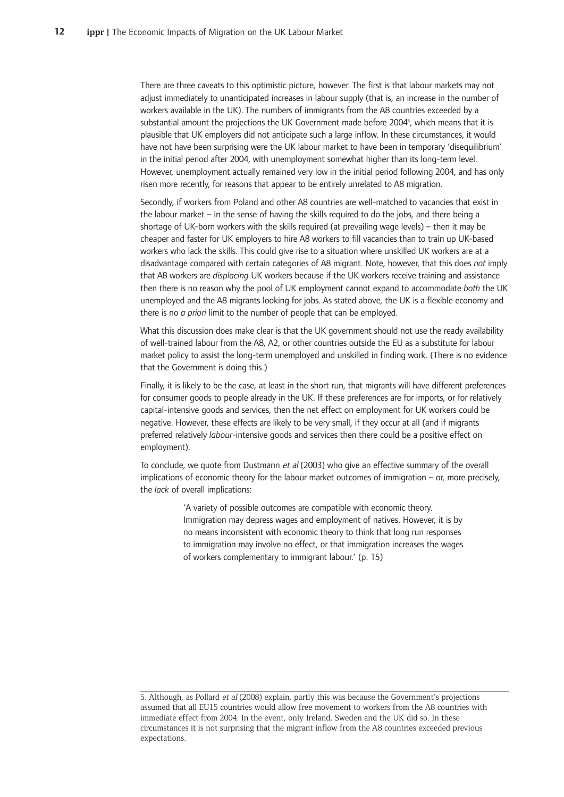There are three caveats to this optimistic picture, however. The first is that labour markets may not adjust immediately to unanticipated increases in labour supply (that is, an increase in the number of workers available in the UK). The numbers of immigrants from the A8 countries exceeded by a substantial amount the projections the UK Government made before 2004<sup>5</sup>, which means that it is plausible that UK employers did not anticipate such a large inflow. In these circumstances, it would have not have been surprising were the UK labour market to have been in temporary 'disequilibrium' in the initial period after 2004, with unemployment somewhat higher than its long-term level. However, unemployment actually remained very low in the initial period following 2004, and has only risen more recently, for reasons that appear to be entirely unrelated to A8 migration.

Secondly, if workers from Poland and other A8 countries are well-matched to vacancies that exist in the labour market  $-$  in the sense of having the skills required to do the jobs, and there being a shortage of UK-born workers with the skills required (at prevailing wage levels) – then it may be cheaper and faster for UK employers to hire A8 workers to fill vacancies than to train up UK-based workers who lack the skills. This could give rise to a situation where unskilled UK workers are at a disadvantage compared with certain categories of A8 migrant. Note, however, that this does not imply that A8 workers are *displacing* UK workers because if the UK workers receive training and assistance then there is no reason why the pool of UK employment cannot expand to accommodate both the UK unemployed and the A8 migrants looking for jobs. As stated above, the UK is a flexible economy and there is no *a priori* limit to the number of people that can be employed.

What this discussion does make clear is that the UK government should not use the ready availability of well-trained labour from the A8, A2, or other countries outside the EU as a substitute for labour market policy to assist the long-term unemployed and unskilled in finding work. (There is no evidence that the Government is doing this.)

Finally, it is likely to be the case, at least in the short run, that migrants will have different preferences for consumer goods to people already in the UK. If these preferences are for imports, or for relatively capital-intensive goods and services, then the net effect on employment for UK workers could be negative. However, these effects are likely to be very small, if they occur at all (and if migrants preferred relatively labour-intensive goods and services then there could be a positive effect on employment).

To conclude, we quote from Dustmann et al (2003) who give an effective summary of the overall implications of economic theory for the labour market outcomes of immigration - or, more precisely, the *lack* of overall implications:

> 'A variety of possible outcomes are compatible with economic theory. Immigration may depress wages and employment of natives. However, it is by no means inconsistent with economic theory to think that long run responses to immigration may involve no effect, or that immigration increases the wages of workers complementary to immigrant labour.' (p. 15)

<sup>5.</sup> Although, as Pollard et al (2008) explain, partly this was because the Government's projections assumed that all EU15 countries would allow free movement to workers from the A8 countries with immediate effect from 2004. In the event, only Ireland, Sweden and the UK did so. In these circumstances it is not surprising that the migrant inflow from the A8 countries exceeded previous expectations.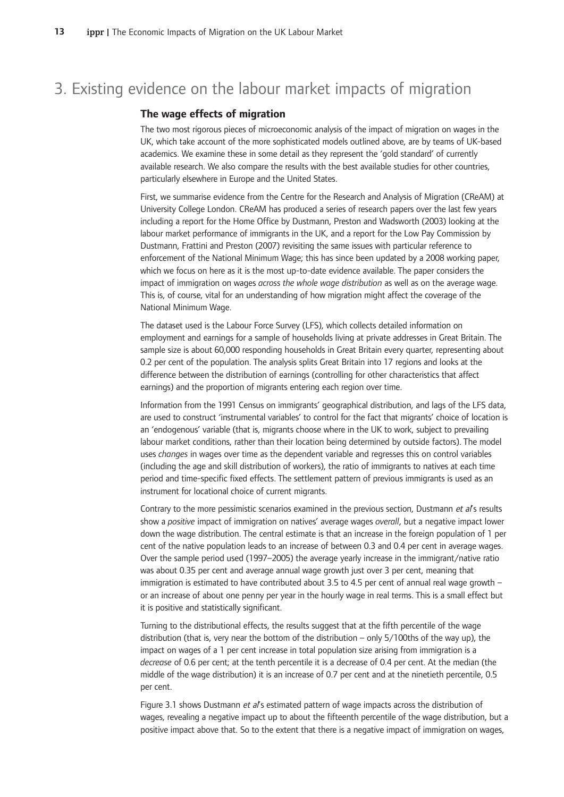## 3. Existing evidence on the labour market impacts of migration

#### **The-wage-effects-of-migration**

The two most rigorous pieces of microeconomic analysis of the impact of migration on wages in the UK, which take account of the more sophisticated models outlined above, are by teams of UK-based academics. We examine these in some detail as they represent the 'gold standard' of currently available research. We also compare the results with the best available studies for other countries, particularly elsewhere in Europe and the United States.

First, we summarise evidence from the Centre for the Research and Analysis of Migration (CReAM) at University College London. CReAM has produced a series of research papers over the last few years including a report for the Home Office by Dustmann, Preston and Wadsworth (2003) looking at the labour market performance of immigrants in the UK, and a report for the Low Pay Commission by Dustmann, Frattini and Preston (2007) revisiting the same issues with particular reference to enforcement of the National Minimum Wage; this has since been updated by a 2008 working paper, which we focus on here as it is the most up-to-date evidence available. The paper considers the impact of immigration on wages across the whole wage distribution as well as on the average wage. This is, of course, vital for an understanding of how migration might affect the coverage of the National Minimum Wage.

The dataset used is the Labour Force Survey (LFS), which collects detailed information on employment and earnings for a sample of households living at private addresses in Great Britain. The sample size is about 60,000 responding households in Great Britain every quarter, representing about 0.2 per cent of the population. The analysis splits Great Britain into 17 regions and looks at the difference between the distribution of earnings (controlling for other characteristics that affect earnings) and the proportion of migrants entering each region over time.

Information from the 1991 Census on immigrants' geographical distribution, and lags of the LFS data, are used to construct 'instrumental variables' to control for the fact that migrants' choice of location is an 'endogenous' variable (that is, migrants choose where in the UK to work, subject to prevailing labour market conditions, rather than their location being determined by outside factors). The model uses changes in wages over time as the dependent variable and regresses this on control variables (including the age and skill distribution of workers), the ratio of immigrants to natives at each time period and time-specific fixed effects. The settlement pattern of previous immigrants is used as an instrument for locational choice of current migrants.

Contrary to the more pessimistic scenarios examined in the previous section, Dustmann et al's results show a *positive* impact of immigration on natives' average wages overall, but a negative impact lower down the wage distribution. The central estimate is that an increase in the foreign population of 1 per cent of the native population leads to an increase of between 0.3 and 0.4 per cent in average wages. Over the sample period used (1997–2005) the average yearly increase in the immigrant/native ratio was about 0.35 per cent and average annual wage growth just over 3 per cent, meaning that immigration is estimated to have contributed about 3.5 to 4.5 per cent of annual real wage growth or an increase of about one penny per year in the hourly wage in real terms. This is a small effect but it is positive and statistically significant.

Turning to the distributional effects, the results suggest that at the fifth percentile of the wage distribution (that is, very near the bottom of the distribution – only 5/100ths of the way up), the impact on wages of a 1 per cent increase in total population size arising from immigration is a decrease of 0.6 per cent; at the tenth percentile it is a decrease of 0.4 per cent. At the median (the middle of the wage distribution) it is an increase of 0.7 per cent and at the ninetieth percentile, 0.5 per cent.

Figure 3.1 shows Dustmann et al's estimated pattern of wage impacts across the distribution of wages, revealing a negative impact up to about the fifteenth percentile of the wage distribution, but a positive impact above that. So to the extent that there is a negative impact of immigration on wages,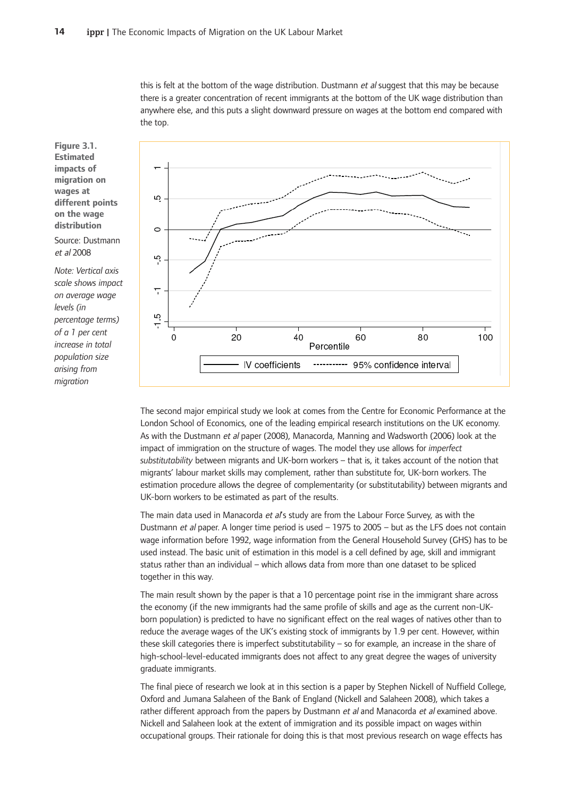this is felt at the bottom of the wage distribution. Dustmann *et al* suggest that this may be because there is a greater concentration of recent immigrants at the bottom of the UK wage distribution than anywhere else, and this puts a slight downward pressure on wages at the bottom end compared with the top.

**Figure-3.1. Estimated impacts-of migration-on wages-at different-points on-the-wage distribution**

Source: Dustmann et-al 2008

*Note:-Vertical-axis scale-shows-impact on-average-wage levels-(in percentage-terms) of-a-1-per-cent increase-in-total population-size arising-from migration-*



The second major empirical study we look at comes from the Centre for Economic Performance at the London School of Economics, one of the leading empirical research institutions on the UK economy. As with the Dustmann *et al* paper (2008), Manacorda, Manning and Wadsworth (2006) look at the impact of immigration on the structure of wages. The model they use allows for *imperfect* substitutability between migrants and UK-born workers – that is, it takes account of the notion that migrants' labour market skills may complement, rather than substitute for, UK-born workers. The estimation procedure allows the degree of complementarity (or substitutability) between migrants and UK-born workers to be estimated as part of the results.

The main data used in Manacorda *et al*'s study are from the Labour Force Survey, as with the Dustmann et al paper. A longer time period is used - 1975 to 2005 - but as the LFS does not contain wage information before 1992, wage information from the General Household Survey (GHS) has to be used instead. The basic unit of estimation in this model is a cell defined by age, skill and immigrant status rather than an individual – which allows data from more than one dataset to be spliced together in this way.

The main result shown by the paper is that a 10 percentage point rise in the immigrant share across the economy (if the new immigrants had the same profile of skills and age as the current non-UKborn population) is predicted to have no significant effect on the real wages of natives other than to reduce the average wages of the UK's existing stock of immigrants by 1.9 per cent. However, within these skill categories there is imperfect substitutability  $-$  so for example, an increase in the share of high-school-level-educated immigrants does not affect to any great degree the wages of university graduate immigrants.

The final piece of research we look at in this section is a paper by Stephen Nickell of Nuffield College, Oxford and Jumana Salaheen of the Bank of England (Nickell and Salaheen 2008), which takes a rather different approach from the papers by Dustmann et al and Manacorda et al examined above. Nickell and Salaheen look at the extent of immigration and its possible impact on wages within occupational groups. Their rationale for doing this is that most previous research on wage effects has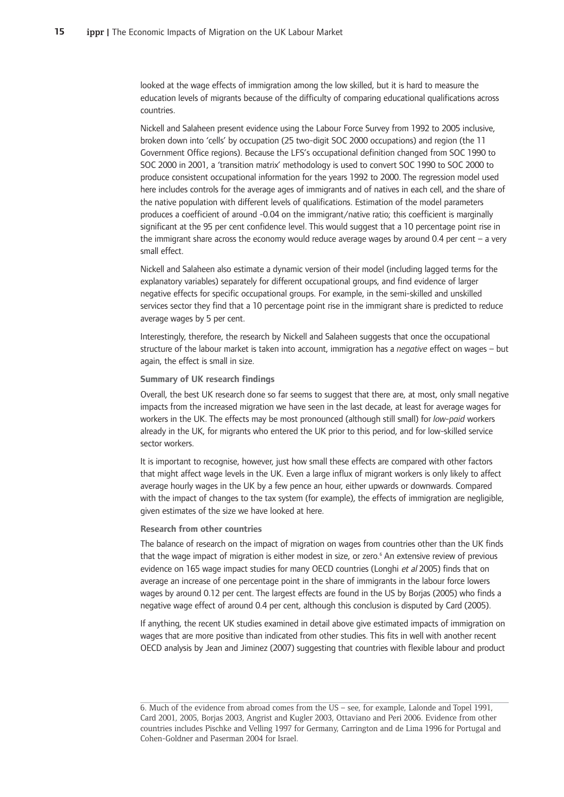looked at the wage effects of immigration among the low skilled, but it is hard to measure the education levels of migrants because of the difficulty of comparing educational qualifications across countries.

Nickell and Salaheen present evidence using the Labour Force Survey from 1992 to 2005 inclusive, broken down into 'cells' by occupation (25 two-digit SOC 2000 occupations) and region (the 11 Government Office regions). Because the LFS's occupational definition changed from SOC 1990 to SOC 2000 in 2001, a 'transition matrix' methodology is used to convert SOC 1990 to SOC 2000 to produce consistent occupational information for the years 1992 to 2000. The regression model used here includes controls for the average ages of immigrants and of natives in each cell, and the share of the native population with different levels of qualifications. Estimation of the model parameters produces a coefficient of around -0.04 on the immigrant/native ratio; this coefficient is marginally significant at the 95 per cent confidence level. This would suggest that a 10 percentage point rise in the immigrant share across the economy would reduce average wages by around 0.4 per cent – a very small effect.

Nickell and Salaheen also estimate a dynamic version of their model (including lagged terms for the explanatory variables) separately for different occupational groups, and find evidence of larger negative effects for specific occupational groups. For example, in the semi-skilled and unskilled services sector they find that a 10 percentage point rise in the immigrant share is predicted to reduce average wages by 5 per cent.

Interestingly, therefore, the research by Nickell and Salaheen suggests that once the occupational structure of the labour market is taken into account, immigration has a *negative* effect on wages – but again, the effect is small in size.

#### **Summary-of-UK-research-findings**

Overall, the best UK research done so far seems to suggest that there are, at most, only small negative impacts from the increased migration we have seen in the last decade, at least for average wages for workers in the UK. The effects may be most pronounced (although still small) for *low-paid* workers already in the UK, for migrants who entered the UK prior to this period, and for low-skilled service sector workers.

It is important to recognise, however, just how small these effects are compared with other factors that might affect wage levels in the UK. Even a large influx of migrant workers is only likely to affect average hourly wages in the UK by a few pence an hour, either upwards or downwards. Compared with the impact of changes to the tax system (for example), the effects of immigration are negligible, given estimates of the size we have looked at here.

#### **Research from other countries**

The balance of research on the impact of migration on wages from countries other than the UK finds that the wage impact of migration is either modest in size, or zero.<sup>6</sup> An extensive review of previous evidence on 165 wage impact studies for many OECD countries (Longhi et al 2005) finds that on average an increase of one percentage point in the share of immigrants in the labour force lowers wages by around 0.12 per cent. The largest effects are found in the US by Borjas (2005) who finds a negative wage effect of around 0.4 per cent, although this conclusion is disputed by Card (2005).

If anything, the recent UK studies examined in detail above give estimated impacts of immigration on wages that are more positive than indicated from other studies. This fits in well with another recent OECD analysis by Jean and Jiminez (2007) suggesting that countries with flexible labour and product

<sup>6.</sup> Much of the evidence from abroad comes from the US – see, for example, Lalonde and Topel 1991, Card 2001, 2005, Borjas 2003, Angrist and Kugler 2003, Ottaviano and Peri 2006. Evidence from other countries includes Pischke and Velling 1997 for Germany, Carrington and de Lima 1996 for Portugal and Cohen-Goldner and Paserman 2004 for Israel.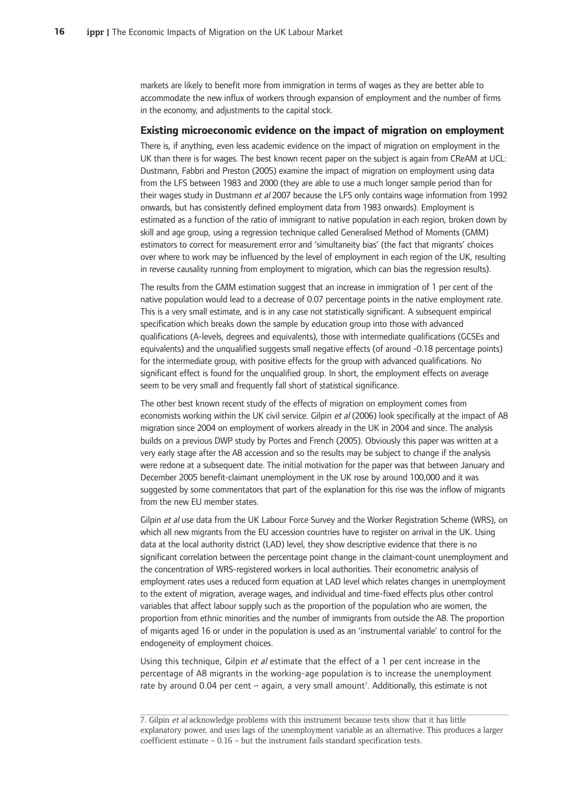markets are likely to benefit more from immigration in terms of wages as they are better able to accommodate the new influx of workers through expansion of employment and the number of firms in the economy, and adjustments to the capital stock.

#### **Existing microeconomic evidence on the impact of migration on employment**

There is, if anything, even less academic evidence on the impact of migration on employment in the UK than there is for wages. The best known recent paper on the subject is again from CReAM at UCL: Dustmann, Fabbri and Preston (2005) examine the impact of migration on employment using data from the LFS between 1983 and 2000 (they are able to use a much longer sample period than for their wages study in Dustmann *et al* 2007 because the LFS only contains wage information from 1992 onwards, but has consistently defined employment data from 1983 onwards). Employment is estimated as a function of the ratio of immigrant to native population in each region, broken down by skill and age group, using a regression technique called Generalised Method of Moments (GMM) estimators to correct for measurement error and 'simultaneity bias' (the fact that migrants' choices over where to work may be influenced by the level of employment in each region of the UK, resulting in reverse causality running from employment to migration, which can bias the regression results).

The results from the GMM estimation suggest that an increase in immigration of 1 per cent of the native population would lead to a decrease of 0.07 percentage points in the native employment rate. This is a very small estimate, and is in any case not statistically significant. A subsequent empirical specification which breaks down the sample by education group into those with advanced qualifications (A-levels, degrees and equivalents), those with intermediate qualifications (GCSEs and equivalents) and the unqualified suggests small negative effects (of around -0.18 percentage points) for the intermediate group, with positive effects for the group with advanced qualifications. No significant effect is found for the unqualified group. In short, the employment effects on average seem to be very small and frequently fall short of statistical significance.

The other best known recent study of the effects of migration on employment comes from economists working within the UK civil service. Gilpin et al (2006) look specifically at the impact of A8 migration since 2004 on employment of workers already in the UK in 2004 and since. The analysis builds on a previous DWP study by Portes and French (2005). Obviously this paper was written at a very early stage after the A8 accession and so the results may be subject to change if the analysis were redone at a subsequent date. The initial motivation for the paper was that between January and December 2005 benefit-claimant unemployment in the UK rose by around 100,000 and it was suggested by some commentators that part of the explanation for this rise was the inflow of migrants from the new EU member states.

Gilpin et al use data from the UK Labour Force Survey and the Worker Registration Scheme (WRS), on which all new migrants from the EU accession countries have to register on arrival in the UK. Using data at the local authority district (LAD) level, they show descriptive evidence that there is no significant correlation between the percentage point change in the claimant-count unemployment and the concentration of WRS-registered workers in local authorities. Their econometric analysis of employment rates uses a reduced form equation at LAD level which relates changes in unemployment to the extent of migration, average wages, and individual and time-fixed effects plus other control variables that affect labour supply such as the proportion of the population who are women, the proportion from ethnic minorities and the number of immigrants from outside the A8. The proportion of migants aged 16 or under in the population is used as an 'instrumental variable' to control for the endogeneity of employment choices.

Using this technique, Gilpin et al estimate that the effect of a 1 per cent increase in the percentage of A8 migrants in the working-age population is to increase the unemployment rate by around 0.04 per cent – again, a very small amount<sup>7</sup>. Additionally, this estimate is not

<sup>7.</sup> Gilpin et al acknowledge problems with this instrument because tests show that it has little explanatory power, and uses lags of the unemployment variable as an alternative. This produces a larger  $coefficient$  estimate  $-0.16$   $-$  but the instrument fails standard specification tests.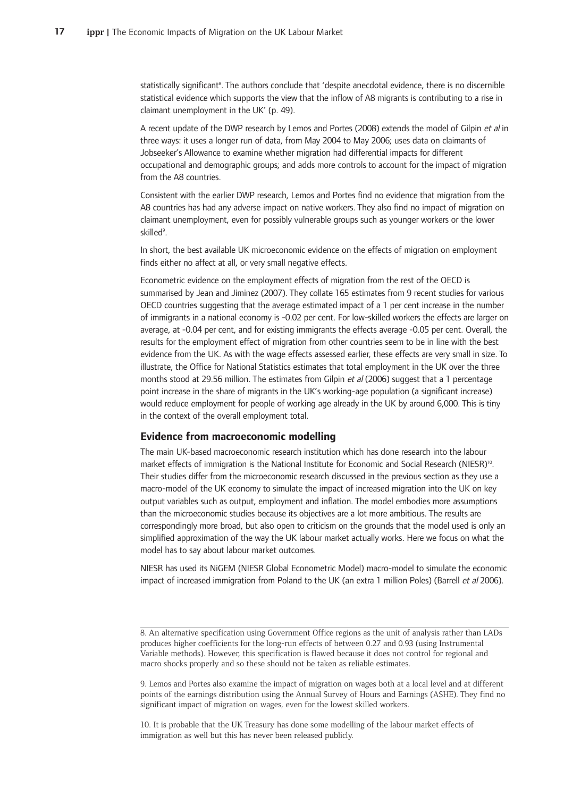statistically significant<sup>8</sup>. The authors conclude that 'despite anecdotal evidence, there is no discernible statistical evidence which supports the view that the inflow of A8 migrants is contributing to a rise in claimant unemployment in the UK' (p. 49).

A recent update of the DWP research by Lemos and Portes (2008) extends the model of Gilpin *et al* in three ways: it uses a longer run of data, from May 2004 to May 2006; uses data on claimants of Jobseeker's Allowance to examine whether migration had differential impacts for different occupational and demographic groups; and adds more controls to account for the impact of migration from the A8 countries.

Consistent with the earlier DWP research, Lemos and Portes find no evidence that migration from the A8 countries has had any adverse impact on native workers. They also find no impact of migration on claimant unemployment, even for possibly vulnerable groups such as younger workers or the lower skilled<sup>9</sup>.

In short, the best available UK microeconomic evidence on the effects of migration on employment finds either no affect at all, or very small negative effects.

Econometric evidence on the employment effects of migration from the rest of the OECD is summarised by Jean and Jiminez (2007). They collate 165 estimates from 9 recent studies for various OECD countries suggesting that the average estimated impact of a 1 per cent increase in the number of immigrants in a national economy is -0.02 per cent. For low-skilled workers the effects are larger on average, at -0.04 per cent, and for existing immigrants the effects average -0.05 per cent. Overall, the results for the employment effect of migration from other countries seem to be in line with the best evidence from the UK. As with the wage effects assessed earlier, these effects are very small in size. To illustrate, the Office for National Statistics estimates that total employment in the UK over the three months stood at 29.56 million. The estimates from Gilpin et al (2006) suggest that a 1 percentage point increase in the share of migrants in the UK's working-age population (a significant increase) would reduce employment for people of working age already in the UK by around 6,000. This is tiny in the context of the overall employment total.

#### **Evidence from macroeconomic modelling**

The main UK-based macroeconomic research institution which has done research into the labour market effects of immigration is the National Institute for Economic and Social Research (NIESR)<sup>10</sup>. Their studies differ from the microeconomic research discussed in the previous section as they use a macro-model of the UK economy to simulate the impact of increased migration into the UK on key output variables such as output, employment and inflation. The model embodies more assumptions than the microeconomic studies because its objectives are a lot more ambitious. The results are correspondingly more broad, but also open to criticism on the grounds that the model used is only an simplified approximation of the way the UK labour market actually works. Here we focus on what the model has to say about labour market outcomes.

NIESR has used its NiGEM (NIESR Global Econometric Model) macro-model to simulate the economic impact of increased immigration from Poland to the UK (an extra 1 million Poles) (Barrell *et al* 2006).

9. Lemos and Portes also examine the impact of migration on wages both at a local level and at different points of the earnings distribution using the Annual Survey of Hours and Earnings (ASHE). They find no significant impact of migration on wages, even for the lowest skilled workers.

10. It is probable that the UK Treasury has done some modelling of the labour market effects of immigration as well but this has never been released publicly.

<sup>8.</sup> An alternative specification using Government Office regions as the unit of analysis rather than LADs produces higher coefficients for the long-run effects of between 0.27 and 0.93 (using Instrumental Variable methods). However, this specification is flawed because it does not control for regional and macro shocks properly and so these should not be taken as reliable estimates.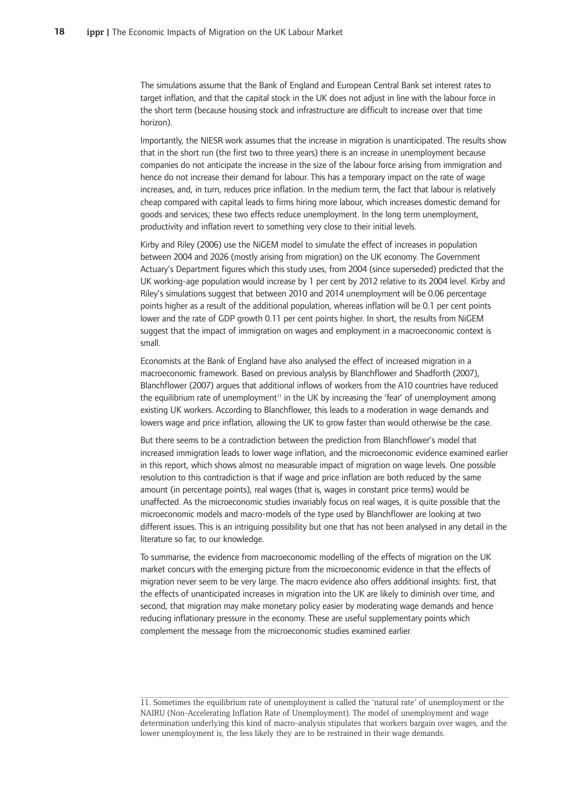The simulations assume that the Bank of England and European Central Bank set interest rates to target inflation, and that the capital stock in the UK does not adjust in line with the labour force in the short term (because housing stock and infrastructure are difficult to increase over that time horizon).

Importantly, the NIESR work assumes that the increase in migration is unanticipated. The results show that in the short run (the first two to three years) there is an increase in unemployment because companies do not anticipate the increase in the size of the labour force arising from immigration and hence do not increase their demand for labour. This has a temporary impact on the rate of wage increases, and, in turn, reduces price inflation. In the medium term, the fact that labour is relatively cheap compared with capital leads to firms hiring more labour, which increases domestic demand for goods and services; these two effects reduce unemployment. In the long term unemployment, productivity and inflation revert to something very close to their initial levels.

Kirby and Riley (2006) use the NiGEM model to simulate the effect of increases in population between 2004 and 2026 (mostly arising from migration) on the UK economy. The Government Actuary's Department figures which this study uses, from 2004 (since superseded) predicted that the UK working-age population would increase by 1 per cent by 2012 relative to its 2004 level. Kirby and Riley's simulations suggest that between 2010 and 2014 unemployment will be 0.06 percentage points higher as a result of the additional population, whereas inflation will be 0.1 per cent points lower and the rate of GDP growth 0.11 per cent points higher. In short, the results from NiGEM suggest that the impact of immigration on wages and employment in a macroeconomic context is small.-

Economists at the Bank of England have also analysed the effect of increased migration in a macroeconomic framework. Based on previous analysis by Blanchflower and Shadforth (2007), Blanchflower (2007) argues that additional inflows of workers from the A10 countries have reduced the equilibrium rate of unemployment<sup>11</sup> in the UK by increasing the 'fear' of unemployment among existing UK workers. According to Blanchflower, this leads to a moderation in wage demands and lowers wage and price inflation, allowing the UK to grow faster than would otherwise be the case.

But there seems to be a contradiction between the prediction from Blanchflower's model that increased immigration leads to lower wage inflation, and the microeconomic evidence examined earlier in this report, which shows almost no measurable impact of migration on wage levels. One possible resolution to this contradiction is that if wage and price inflation are both reduced by the same amount (in percentage points), real wages (that is, wages in constant price terms) would be unaffected. As the microeconomic studies invariably focus on real wages, it is quite possible that the microeconomic models and macro-models of the type used by Blanchflower are looking at two different issues. This is an intriguing possibility but one that has not been analysed in any detail in the literature so far, to our knowledge.

To summarise, the evidence from macroeconomic modelling of the effects of migration on the UK market concurs with the emerging picture from the microeconomic evidence in that the effects of migration never seem to be very large. The macro evidence also offers additional insights: first, that the effects of unanticipated increases in migration into the UK are likely to diminish over time, and second, that migration may make monetary policy easier by moderating wage demands and hence reducing inflationary pressure in the economy. These are useful supplementary points which complement the message from the microeconomic studies examined earlier.

<sup>11.</sup> Sometimes the equilibrium rate of unemployment is called the 'natural rate' of unemployment or the NAIRU (Non-Accelerating Inflation Rate of Unemployment). The model of unemployment and wage determination underlying this kind of macro-analysis stipulates that workers bargain over wages, and the lower unemployment is, the less likely they are to be restrained in their wage demands.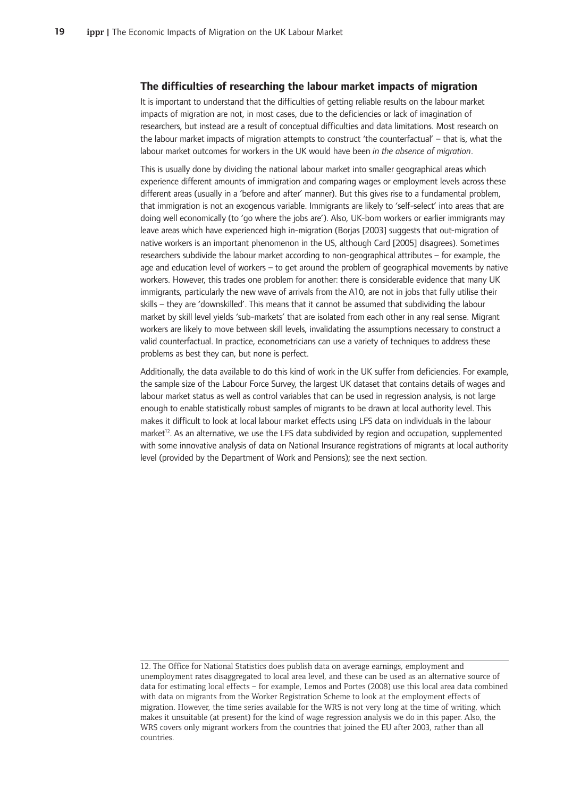#### **The-difficulties-of-researching-the-labour-market-impacts-of-migration**

It is important to understand that the difficulties of getting reliable results on the labour market impacts of migration are not, in most cases, due to the deficiencies or lack of imagination of researchers, but instead are a result of conceptual difficulties and data limitations. Most research on the labour market impacts of migration attempts to construct 'the counterfactual' – that is, what the labour market outcomes for workers in the UK would have been in the absence of migration.

This is usually done by dividing the national labour market into smaller geographical areas which experience different amounts of immigration and comparing wages or employment levels across these different areas (usually in a 'before and after' manner). But this gives rise to a fundamental problem, that immigration is not an exogenous variable. Immigrants are likely to 'self-select' into areas that are doing well economically (to 'go where the jobs are'). Also, UK-born workers or earlier immigrants may leave areas which have experienced high in-migration (Borjas [2003] suggests that out-migration of native workers is an important phenomenon in the US, although Card [2005] disagrees). Sometimes researchers subdivide the labour market according to non-geographical attributes - for example, the age and education level of workers – to get around the problem of geographical movements by native workers. However, this trades one problem for another: there is considerable evidence that many UK immigrants, particularly the new wave of arrivals from the A10, are not in jobs that fully utilise their skills – they are 'downskilled'. This means that it cannot be assumed that subdividing the labour market by skill level yields 'sub-markets' that are isolated from each other in any real sense. Migrant workers are likely to move between skill levels, invalidating the assumptions necessary to construct a valid counterfactual. In practice, econometricians can use a variety of techniques to address these problems as best they can, but none is perfect.

Additionally, the data available to do this kind of work in the UK suffer from deficiencies. For example, the sample size of the Labour Force Survey, the largest UK dataset that contains details of wages and labour market status as well as control variables that can be used in regression analysis, is not large enough to enable statistically robust samples of migrants to be drawn at local authority level. This makes it difficult to look at local labour market effects using LFS data on individuals in the labour market<sup>12</sup>. As an alternative, we use the LFS data subdivided by region and occupation, supplemented with some innovative analysis of data on National Insurance registrations of migrants at local authority level (provided by the Department of Work and Pensions); see the next section.

<sup>12.</sup> The Office for National Statistics does publish data on average earnings, employment and unemployment rates disaggregated to local area level, and these can be used as an alternative source of data for estimating local effects – for example, Lemos and Portes (2008) use this local area data combined with data on migrants from the Worker Registration Scheme to look at the employment effects of migration. However, the time series available for the WRS is not very long at the time of writing, which makes it unsuitable (at present) for the kind of wage regression analysis we do in this paper. Also, the WRS covers only migrant workers from the countries that joined the EU after 2003, rather than all countries.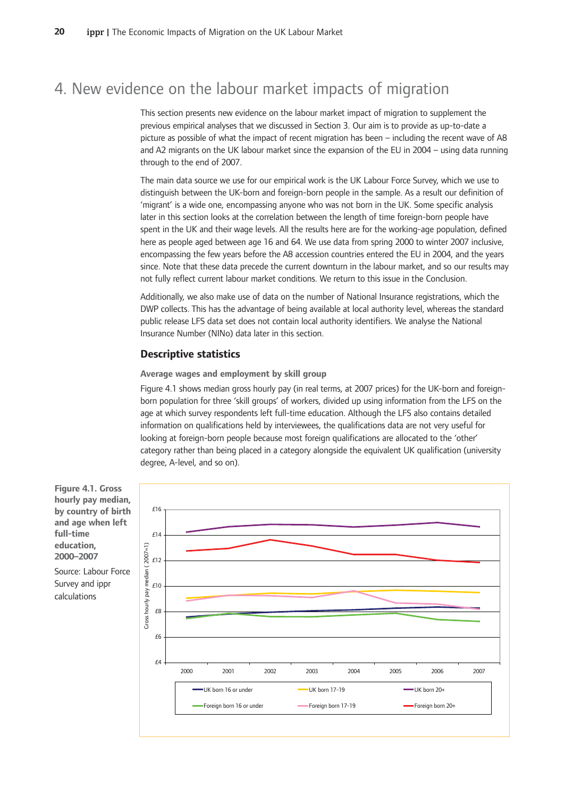## 4. New evidence on the labour market impacts of migration

This section presents new evidence on the labour market impact of migration to supplement the previous empirical analyses that we discussed in Section 3. Our aim is to provide as up-to-date a picture as possible of what the impact of recent migration has been – including the recent wave of A8 and A2 migrants on the UK labour market since the expansion of the EU in 2004 – using data running through to the end of 2007.

The main data source we use for our empirical work is the UK Labour Force Survey, which we use to distinguish between the UK-born and foreign-born people in the sample. As a result our definition of 'migrant' is a wide one, encompassing anyone who was not born in the UK. Some specific analysis later in this section looks at the correlation between the length of time foreign-born people have spent in the UK and their wage levels. All the results here are for the working-age population, defined here as people aged between age 16 and 64. We use data from spring 2000 to winter 2007 inclusive, encompassing the few years before the A8 accession countries entered the EU in 2004, and the years since. Note that these data precede the current downturn in the labour market, and so our results may not fully reflect current labour market conditions. We return to this issue in the Conclusion.

Additionally, we also make use of data on the number of National Insurance registrations, which the DWP collects. This has the advantage of being available at local authority level, whereas the standard public release LFS data set does not contain local authority identifiers. We analyse the National Insurance Number (NINo) data later in this section.

#### **Descriptive-statistics**

**Average-wages-and-employment-by-skill-group**

Figure 4.1 shows median gross hourly pay (in real terms, at 2007 prices) for the UK-born and foreignborn population for three 'skill groups' of workers, divided up using information from the LFS on the age at which survey respondents left full-time education. Although the LFS also contains detailed information on qualifications held by interviewees, the qualifications data are not very useful for looking at foreign-born people because most foreign qualifications are allocated to the 'other' category rather than being placed in a category alongside the equivalent UK qualification (university degree, A-level, and so on).



**Figure 4.1. Gross hourly-pay-median, by-country-of-birth and-age-when-left full-time** education. **2000–2007**

Source: Labour Force Survey and ippr calculations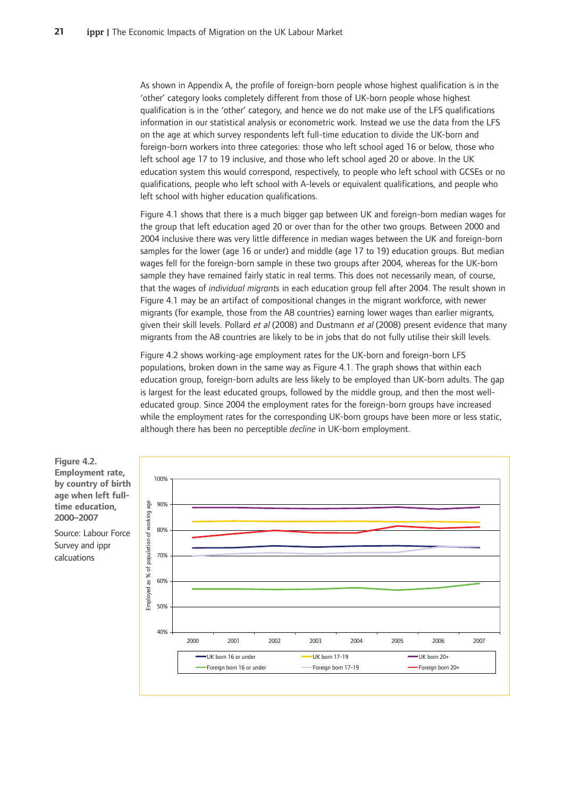As shown in Appendix A, the profile of foreign-born people whose highest qualification is in the 'other' category looks completely different from those of UK-born people whose highest qualification is in the 'other' category, and hence we do not make use of the LFS qualifications information in our statistical analysis or econometric work. Instead we use the data from the LFS on the age at which survey respondents left full-time education to divide the UK-born and foreign-born workers into three categories: those who left school aged 16 or below, those who left school age 17 to 19 inclusive, and those who left school aged 20 or above. In the UK education system this would correspond, respectively, to people who left school with GCSEs or no qualifications, people who left school with A-levels or equivalent qualifications, and people who left school with higher education qualifications.

Figure 4.1 shows that there is a much bigger gap between UK and foreign-born median wages for the group that left education aged 20 or over than for the other two groups. Between 2000 and 2004 inclusive there was very little difference in median wages between the UK and foreign-born samples for the lower (age 16 or under) and middle (age 17 to 19) education groups. But median wages fell for the foreign-born sample in these two groups after 2004, whereas for the UK-born sample they have remained fairly static in real terms. This does not necessarily mean, of course, that the wages of *individual migrants* in each education group fell after 2004. The result shown in Figure 4.1 may be an artifact of compositional changes in the migrant workforce, with newer migrants (for example, those from the A8 countries) earning lower wages than earlier migrants, given their skill levels. Pollard *et al* (2008) and Dustmann *et al* (2008) present evidence that many migrants from the A8 countries are likely to be in jobs that do not fully utilise their skill levels.

Figure 4.2 shows working-age employment rates for the UK-born and foreign-born LFS populations, broken down in the same way as Figure 4.1. The graph shows that within each education group, foreign-born adults are less likely to be employed than UK-born adults. The gap is largest for the least educated groups, followed by the middle group, and then the most welleducated group. Since 2004 the employment rates for the foreign-born groups have increased while the employment rates for the corresponding UK-born groups have been more or less static, although there has been no perceptible *decline* in UK-born employment.

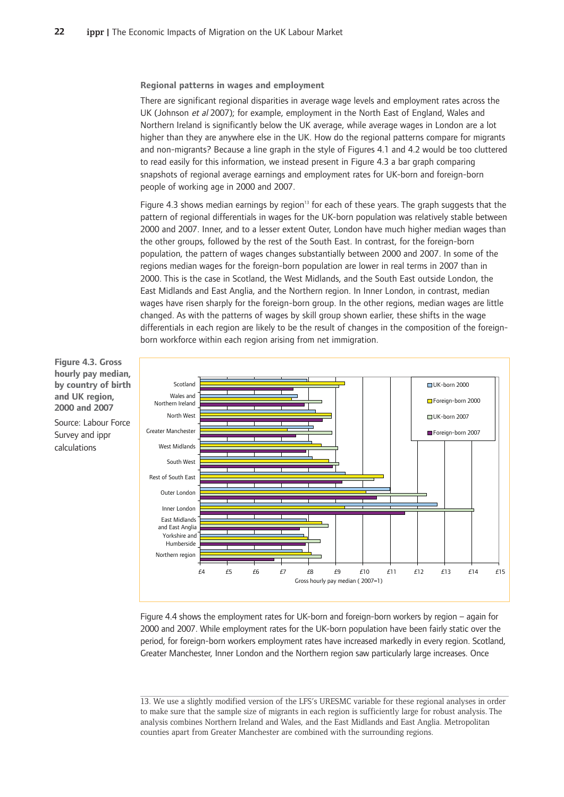**Regional patterns in wages and employment** 

There are significant regional disparities in average wage levels and employment rates across the UK (Johnson et al 2007); for example, employment in the North East of England, Wales and Northern Ireland is significantly below the UK average, while average wages in London are a lot higher than they are anywhere else in the UK. How do the regional patterns compare for migrants and non-migrants? Because a line graph in the style of Figures 4.1 and 4.2 would be too cluttered to read easily for this information, we instead present in Figure 4.3 a bar graph comparing snapshots of regional average earnings and employment rates for UK-born and foreign-born people of working age in 2000 and 2007.

Figure 4.3 shows median earnings by region<sup>13</sup> for each of these years. The graph suggests that the pattern of regional differentials in wages for the UK-born population was relatively stable between 2000 and 2007. Inner, and to a lesser extent Outer, London have much higher median wages than the other groups, followed by the rest of the South East. In contrast, for the foreign-born population, the pattern of wages changes substantially between 2000 and 2007. In some of the regions median wages for the foreign-born population are lower in real terms in 2007 than in 2000. This is the case in Scotland, the West Midlands, and the South East outside London, the East Midlands and East Anglia, and the Northern region. In Inner London, in contrast, median wages have risen sharply for the foreign-born group. In the other regions, median wages are little changed. As with the patterns of wages by skill group shown earlier, these shifts in the wage differentials in each region are likely to be the result of changes in the composition of the foreignborn workforce within each region arising from net immigration.



**hourly-pay-median, by-country-of-birth and-UK-region, 2000-and-2007**

**Figure-4.3.-Gross**

Source: Labour Force Survey and ippr calculations

Figure 4.4 shows the employment rates for UK-born and foreign-born workers by region – again for 2000 and 2007. While employment rates for the UK-born population have been fairly static over the period, for foreign-born workers employment rates have increased markedly in every region. Scotland, Greater Manchester, Inner London and the Northern region saw particularly large increases. Once

<sup>13.</sup> We use a slightly modified version of the LFS's URESMC variable for these regional analyses in order to make sure that the sample size of migrants in each region is sufficiently large for robust analysis. The analysis combines Northern Ireland and Wales, and the East Midlands and East Anglia. Metropolitan counties apart from Greater Manchester are combined with the surrounding regions.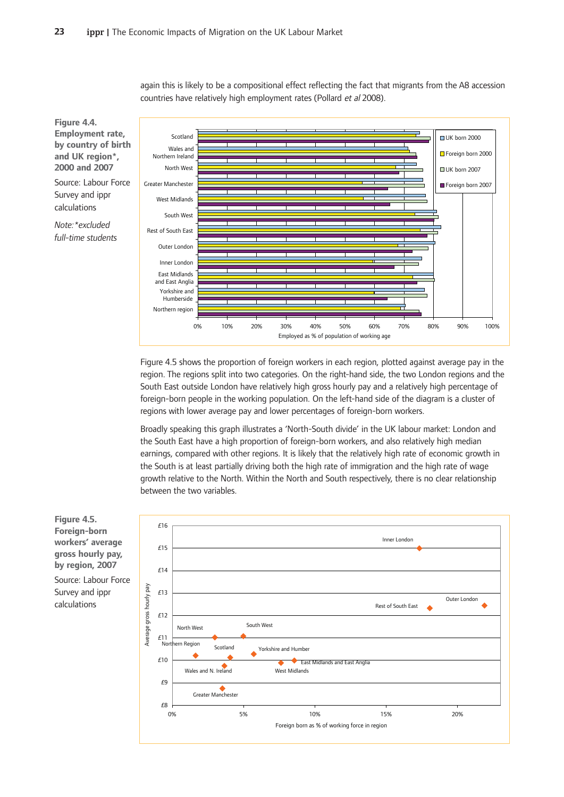again this is likely to be a compositional effect reflecting the fact that migrants from the A8 accession countries have relatively high employment rates (Pollard et al 2008).



**Figure-4.4.** Employment rate, **by-country-of-birth and-UK-region\*, 2000-and-2007**

Source: Labour Force Survey and ippr calculations

*Note:\*excludedfull-time-students*

Figure 4.5 shows the proportion of foreign workers in each region, plotted against average pay in the region. The regions split into two categories. On the right-hand side, the two London regions and the South East outside London have relatively high gross hourly pay and a relatively high percentage of foreign-born people in the working population. On the left-hand side of the diagram is a cluster of regions with lower average pay and lower percentages of foreign-born workers.

Broadly speaking this graph illustrates a 'North-South divide' in the UK labour market: London and the South East have a high proportion of foreign-born workers, and also relatively high median earnings, compared with other regions. It is likely that the relatively high rate of economic growth in the South is at least partially driving both the high rate of immigration and the high rate of wage growth relative to the North. Within the North and South respectively, there is no clear relationship between the two variables.



**Figure-4.5. Foreign-born workers'-average gross-hourly-pay, b**y region, 2007 Source: Labour Force Survey and ippr calculations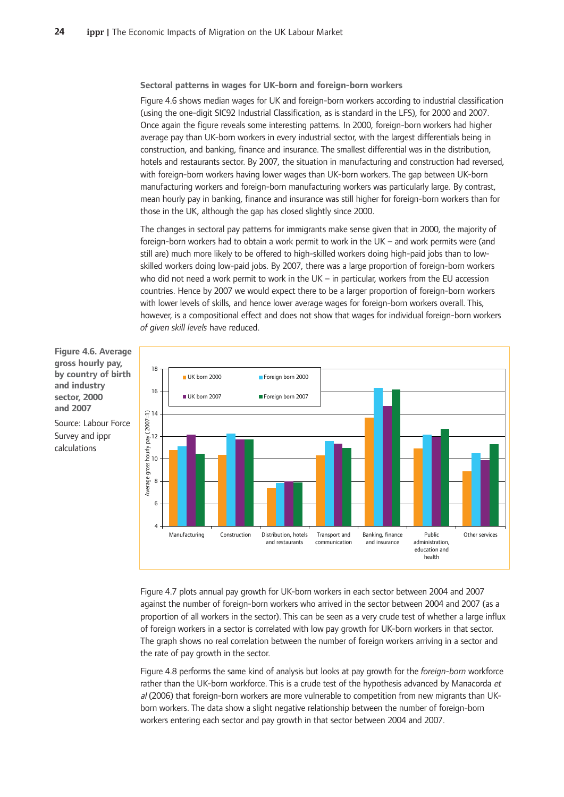**Sectoral-patterns-in-wages-for-UK-born-and-foreign-born-workers**

Figure 4.6 shows median wages for UK and foreign-born workers according to industrial classification (using the one-digit SIC92 Industrial Classification, as is standard in the LFS), for 2000 and 2007. Once again the figure reveals some interesting patterns. In 2000, foreign-born workers had higher average pay than UK-born workers in every industrial sector, with the largest differentials being in construction, and banking, finance and insurance. The smallest differential was in the distribution, hotels and restaurants sector. By 2007, the situation in manufacturing and construction had reversed, with foreign-born workers having lower wages than UK-born workers. The gap between UK-born manufacturing workers and foreign-born manufacturing workers was particularly large. By contrast, mean hourly pay in banking, finance and insurance was still higher for foreign-born workers than for those in the UK, although the gap has closed slightly since 2000.

The changes in sectoral pay patterns for immigrants make sense given that in 2000, the majority of foreign-born workers had to obtain a work permit to work in the UK – and work permits were (and still are) much more likely to be offered to high-skilled workers doing high-paid jobs than to lowskilled workers doing low-paid jobs. By 2007, there was a large proportion of foreign-born workers who-did-not-need a work-permit to work in the UK – in particular, workers from the EU accession countries. Hence by 2007 we would expect there to be a larger proportion of foreign-born workers with lower levels of skills, and hence lower average wages for foreign-born workers overall. This, however, is a compositional effect and does not show that wages for individual foreign-born workers *of-given-skill-levels-*have-reduced.-



**Figure 4.6. Average gross-hourly-pay, by-country-of-birth and-industry sector,-2000 and-2007**

Source: Labour Force Survey and ippr calculations

> Figure 4.7 plots annual pay growth for UK-born workers in each sector between 2004 and 2007 against the number of foreign-born workers who arrived in the sector between 2004 and 2007 (as a proportion of all workers in the sector). This can be seen as a very crude test of whether a large influx of foreign workers in a sector is correlated with low pay growth for UK-born workers in that sector. The graph shows no real correlation between the number of foreign workers arriving in a sector and the rate of pay growth in the sector.

> Figure 4.8 performs the same kind of analysis but looks at pay growth for the *foreign-born-workforce* rather than the UK-born workforce. This is a crude test of the hypothesis advanced by Manacorda et al (2006) that foreign-born workers are more vulnerable to competition from new migrants than UKborn workers. The data show a slight negative relationship between the number of foreign-born workers entering each sector and pay growth in that sector between 2004 and 2007.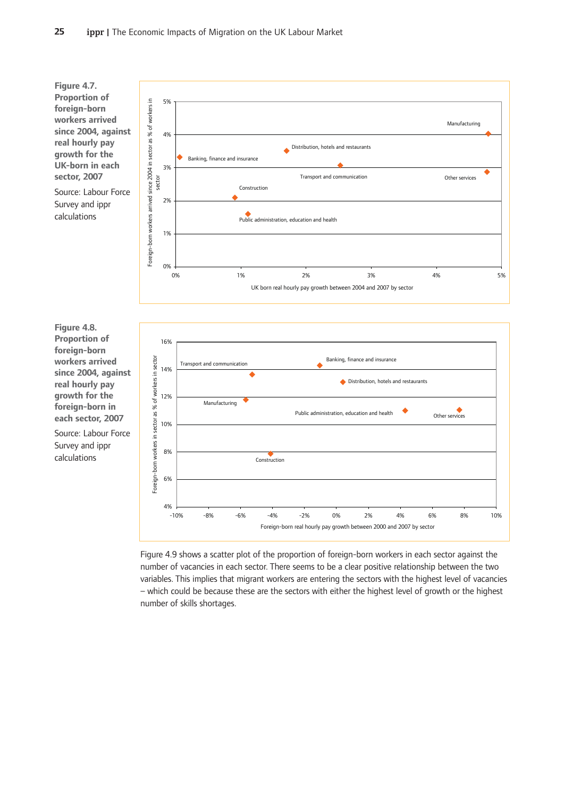

Figure 4.9 shows a scatter plot of the proportion of foreign-born workers in each sector against the number of vacancies in each sector. There seems to be a clear positive relationship between the two variables. This implies that migrant workers are entering the sectors with the highest level of vacancies – which could be because these are the sectors with either the highest level of growth or the highest number of skills shortages.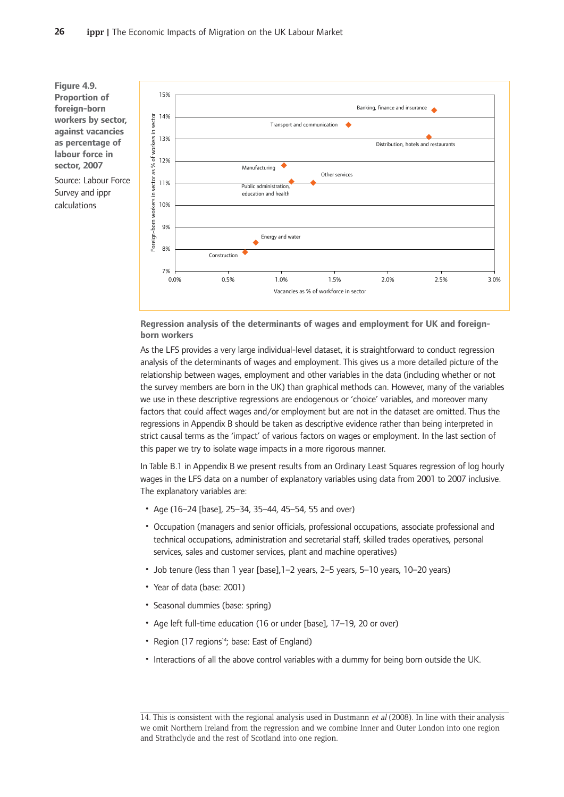**Figure-4.9. Proportion-of foreign-born workers-by-sector, against-vacancies as-percentage-of labour-force-in sector,-2007** Source: Labour Force

Survey and ippr calculations



**Regression analysis of the determinants of wages and employment for UK and foreignborn-workers**

As the LFS provides a very large individual-level dataset, it is straightforward to conduct regression analysis of the determinants of wages and employment. This gives us a more detailed picture of the relationship between wages, employment and other variables in the data (including whether or not the survey members are born in the UK) than graphical methods can. However, many of the variables we use in these descriptive regressions are endogenous or 'choice' variables, and moreover many factors that could affect wages and/or employment but are not in the dataset are omitted. Thus the regressions in Appendix B should be taken as descriptive evidence rather than being interpreted in strict causal terms as the 'impact' of various factors on wages or employment. In the last section of this paper we try to isolate wage impacts in a more rigorous manner.

In Table B.1 in Appendix B we present results from an Ordinary Least Squares regression of log hourly wages in the LFS data on a number of explanatory variables using data from 2001 to 2007 inclusive. The explanatory variables are:

- Age (16-24 [base], 25-34, 35-44, 45-54, 55 and over)
- Occupation (managers and senior officials, professional occupations, associate professional and technical occupations, administration and secretarial staff, skilled trades operatives, personal services, sales and customer services, plant and machine operatives)
- Job tenure (less than 1 year [base], 1-2 years, 2-5 years, 5-10 years, 10-20 years)
- Year of data (base: 2001)
- Seasonal dummies (base: spring)
- Age left full-time education (16 or under [base], 17-19, 20 or over)
- Region (17 regions<sup>14</sup>; base: East of England)
- Interactions of all the above control variables with a dummy for being born outside the UK.

<sup>14.</sup> This is consistent with the regional analysis used in Dustmann et al (2008). In line with their analysis we omit Northern Ireland from the regression and we combine Inner and Outer London into one region and Strathclyde and the rest of Scotland into one region.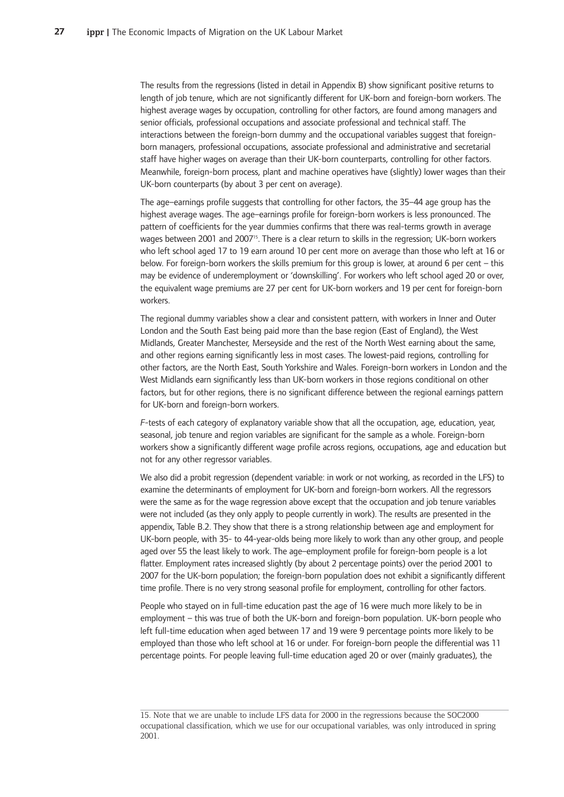The results from the regressions (listed in detail in Appendix B) show significant positive returns to length of job tenure, which are not significantly different for UK-born and foreign-born workers. The highest average wages by occupation, controlling for other factors, are found among managers and senior officials, professional occupations and associate professional and technical staff. The interactions between the foreign-born dummy and the occupational variables suggest that foreignborn managers, professional occupations, associate professional and administrative and secretarial staff have higher wages on average than their UK-born counterparts, controlling for other factors. Meanwhile, foreign-born process, plant and machine operatives have (slightly) lower wages than their UK-born counterparts (by about 3 per cent on average).

The age—earnings profile suggests that controlling for other factors, the 35—44 age group has the highest average wages. The age–earnings profile for foreign-born workers is less pronounced. The pattern of coefficients for the year dummies confirms that there was real-terms growth in average wages between 2001 and 200715. There is a clear return to skills in the regression; UK-born workers who left school aged 17 to 19 earn around 10 per cent more on average than those who left at 16 or below. For foreign-born workers the skills premium for this group is lower, at around 6 per cent - this may be evidence of underemployment or 'downskilling'. For workers who left school aged 20 or over, the equivalent wage premiums are 27 per cent for UK-born workers and 19 per cent for foreign-born workers.

The regional dummy variables show a clear and consistent pattern, with workers in Inner and Outer London and the South East being paid more than the base region (East of England), the West Midlands, Greater Manchester, Merseyside and the rest of the North West earning about the same, and other regions earning significantly less in most cases. The lowest-paid regions, controlling for other factors, are the North East, South Yorkshire and Wales. Foreign-born workers in London and the West Midlands earn significantly less than UK-born workers in those regions conditional on other factors, but for other regions, there is no significant difference between the regional earnings pattern for UK-born and foreign-born workers.

F-tests of each category of explanatory variable show that all the occupation, age, education, year, seasonal, job tenure and region variables are significant for the sample as a whole. Foreign-born workers show a significantly different wage profile across regions, occupations, age and education but not for any other regressor variables.

We also did a probit regression (dependent variable: in work or not working, as recorded in the LFS) to examine the determinants of employment for UK-born and foreign-born workers. All the regressors were the same as for the wage regression above except that the occupation and job tenure variables were not included (as they only apply to people currently in work). The results are presented in the appendix, Table B.2. They show that there is a strong relationship between age and employment for UK-born people, with 35- to 44-year-olds being more likely to work than any other group, and people aged over 55 the least likely to work. The age–employment profile for foreign-born people is a lot flatter. Employment rates increased slightly (by about 2 percentage points) over the period 2001 to 2007 for the UK-born population; the foreign-born population does not exhibit a significantly different time profile. There is no very strong seasonal profile for employment, controlling for other factors.

People who stayed on in full-time education past the age of 16 were much more likely to be in employment – this was true of both the UK-born and foreign-born population. UK-born people who left full-time education when aged between 17 and 19 were 9 percentage points more likely to be employed than those who left school at 16 or under. For foreign-born people the differential was 11 percentage points. For people leaving full-time education aged 20 or over (mainly graduates), the

<sup>15.</sup> Note that we are unable to include LFS data for 2000 in the regressions because the SOC2000 occupational classification, which we use for our occupational variables, was only introduced in spring 2001.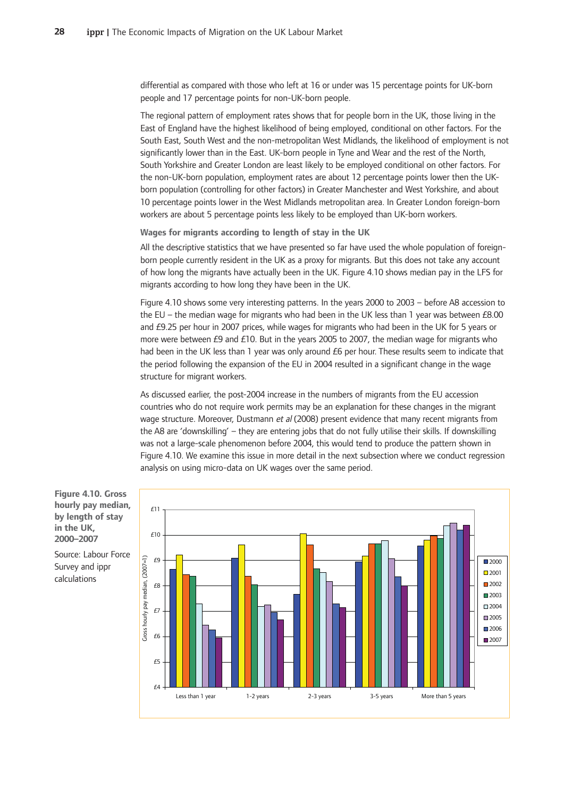differential as compared with those who left at 16 or under was 15 percentage points for UK-born people and 17 percentage points for non-UK-born people.

The regional pattern of employment rates shows that for people born in the UK, those living in the East of England have the highest likelihood of being employed, conditional on other factors. For the South East, South West and the non-metropolitan West Midlands, the likelihood of employment is not significantly lower than in the East. UK-born people in Tyne and Wear and the rest of the North, South Yorkshire and Greater London are least likely to be employed conditional on other factors. For the non-UK-born population, employment rates are about 12 percentage points lower then the UKborn population (controlling for other factors) in Greater Manchester and West Yorkshire, and about 10 percentage points lower in the West Midlands metropolitan area. In Greater London foreign-born workers are about 5 percentage points less likely to be employed than UK-born workers.

**Wages-for-migrants-according-to-length-of-stay-in-the-UK**

All the descriptive statistics that we have presented so far have used the whole population of foreignborn people currently resident in the UK as a proxy for migrants. But this does not take any account of how long the migrants have actually been in the UK. Figure 4.10 shows median pay in the LFS for migrants according to how long they have been in the UK.

Figure 4.10 shows some very interesting patterns. In the years 2000 to 2003 - before A8 accession to the EU – the median wage for migrants who had been in the UK less than 1 year was between £8.00 and £9.25 per hour in 2007 prices, while wages for migrants who had been in the UK for 5 years or more were between  $E9$  and  $E10$ . But in the years 2005 to 2007, the median wage for migrants who had been in the UK less than 1 year was only around  $E6$  per hour. These results seem to indicate that the period following the expansion of the EU in 2004 resulted in a significant change in the wage structure for migrant workers.

As discussed earlier, the post-2004 increase in the numbers of migrants from the EU accession countries who do not require work permits may be an explanation for these changes in the migrant wage structure. Moreover, Dustmann *et al* (2008) present evidence that many recent migrants from the A8 are 'downskilling' – they are entering jobs that do not fully utilise their skills. If downskilling was not a large-scale phenomenon before 2004, this would tend to produce the pattern shown in Figure 4.10. We examine this issue in more detail in the next subsection where we conduct regression analysis on using micro-data on UK wages over the same period.



**Figure-4.10.-Gross hourly-pay-median, by-length-of-stay in-the-UK, 2000–2007-**

Source: Labour Force Survey and ippr calculations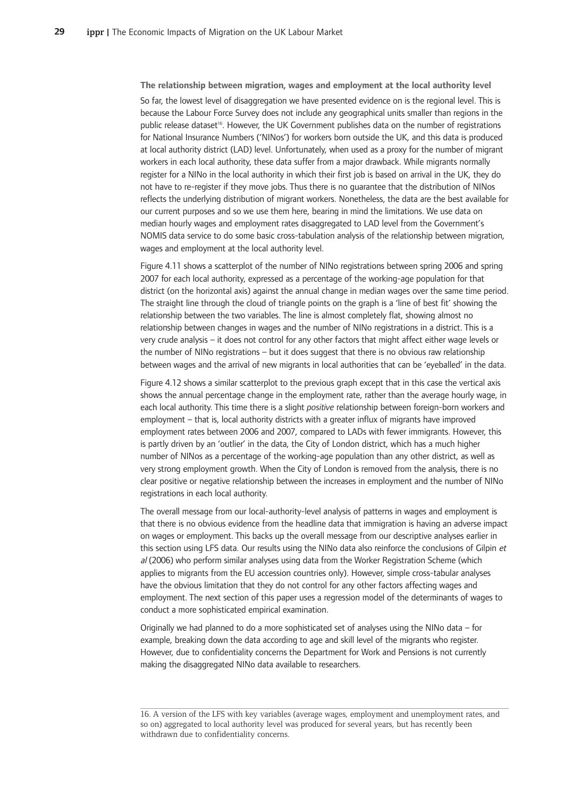$\bf{r}$  relationship between migration, wages and employment at the local authority level So far, the lowest level of disaggregation we have presented evidence on is the regional level. This is because the Labour Force Survey does not include any geographical units smaller than regions in the public release dataset<sup>16</sup>. However, the UK Government publishes data on the number of registrations for National Insurance Numbers ('NINos') for workers born outside the UK, and this data is produced at local authority district (LAD) level. Unfortunately, when used as a proxy for the number of migrant workers in each local authority, these data suffer from a major drawback. While migrants normally register for a NINo in the local authority in which their first job is based on arrival in the UK, they do not have to re-register if they move jobs. Thus there is no guarantee that the distribution of NINos reflects the underlying distribution of migrant workers. Nonetheless, the data are the best available for our current purposes and so we use them here, bearing in mind the limitations. We use data on median hourly wages and employment rates disaggregated to LAD level from the Government's NOMIS data service to do some basic cross-tabulation analysis of the relationship between migration, wages and employment at the local authority level.

Figure 4.11 shows a scatterplot of the number of NINo registrations between spring 2006 and spring 2007 for each local authority, expressed as a percentage of the working-age population for that district (on the horizontal axis) against the annual change in median wages over the same time period. The straight line through the cloud of triangle points on the graph is a 'line of best fit' showing the relationship between the two variables. The line is almost completely flat, showing almost no relationship between changes in wages and the number of NINo registrations in a district. This is a very crude analysis – it does not control for any other factors that might affect either wage levels or the number of NINo registrations – but it does suggest that there is no obvious raw relationship between wages and the arrival of new migrants in local authorities that can be 'eyeballed' in the data.

Figure 4.12 shows a similar scatterplot to the previous graph except that in this case the vertical axis shows the annual percentage change in the employment rate, rather than the average hourly wage, in each local authority. This time there is a slight *positive* relationship between foreign-born workers and employment – that is, local authority districts with a greater influx of migrants have improved employment rates between 2006 and 2007, compared to LADs with fewer immigrants. However, this is partly driven by an 'outlier' in the data, the City of London district, which has a much higher number of NINos as a percentage of the working-age population than any other district, as well as very strong employment growth. When the City of London is removed from the analysis, there is no clear positive or negative relationship between the increases in employment and the number of NINo registrations in each local authority.

The overall message from our local-authority-level analysis of patterns in wages and employment is that there is no obvious evidence from the headline data that immigration is having an adverse impact on wages or employment. This backs up the overall message from our descriptive analyses earlier in this section using LFS data. Our results using the NINo data also reinforce the conclusions of Gilpin et al (2006) who perform similar analyses using data from the Worker Registration Scheme (which applies to migrants from the EU accession countries only). However, simple cross-tabular analyses have the obvious limitation that they do not control for any other factors affecting wages and employment. The next section of this paper uses a regression model of the determinants of wages to conduct a more sophisticated empirical examination.

Originally we had planned to do a more sophisticated set of analyses using the NINo data - for example, breaking down the data according to age and skill level of the migrants who register. However, due to confidentiality concerns the Department for Work and Pensions is not currently making the disaggregated NINo data available to researchers.

<sup>16.</sup> A version of the LFS with key variables (average wages, employment and unemployment rates, and so on) aggregated to local authority level was produced for several years, but has recently been withdrawn due to confidentiality concerns.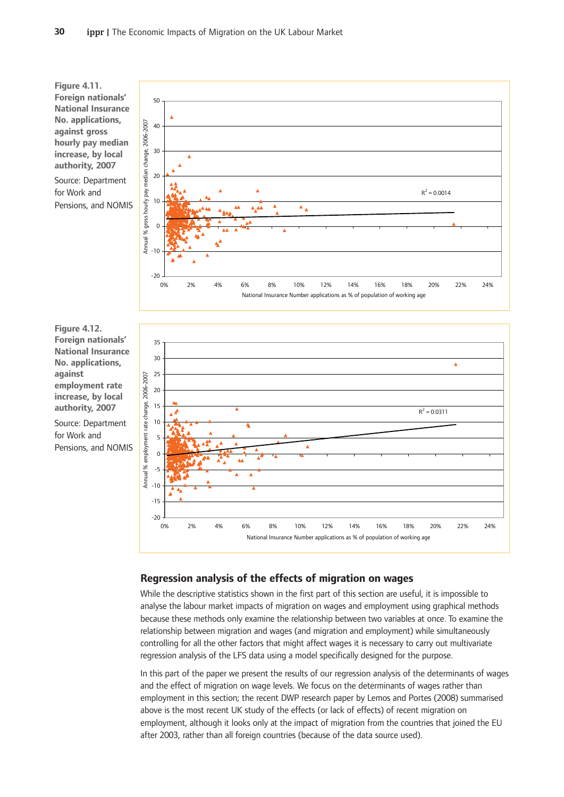**Figure-4.11. Foreign-nationals' National Insurance No.-applications, against-gross hourly-pay-median** increase, by local authority, 2007

Source: Department for-Work-and Pensions, and NOMIS



**Figure-4.12. Foreign-nationals' National Insurance No.-applications, against employment-rate** increase, by local authority, 2007

Source: Department for-Work-and Pensions, and NOMIS



#### **Regression-analysis-of-the-effects-of-migration-on-wages**

While the descriptive statistics shown in the first part of this section are useful, it is impossible to analyse the labour market impacts of migration on wages and employment using graphical methods because these methods only examine the relationship between two variables at once. To examine the relationship between migration and wages (and migration and employment) while simultaneously controlling for all the other factors that might affect wages it is necessary to carry out multivariate regression analysis of the LFS data using a model specifically designed for the purpose.

In this part of the paper we present the results of our regression analysis of the determinants of wages and the effect of migration on wage levels. We focus on the determinants of wages rather than employment in this section; the recent DWP research paper by Lemos and Portes (2008) summarised above is the most recent UK study of the effects (or lack of effects) of recent migration on employment, although it looks only at the impact of migration from the countries that joined the EU after 2003, rather than all foreign countries (because of the data source used).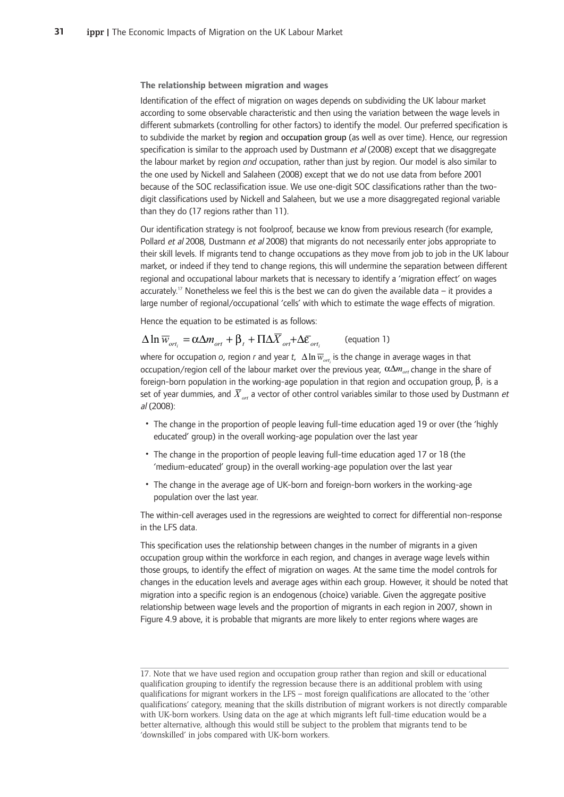**The-relationship-between-migration-and-wages**

Identification of the effect of migration on wages depends on subdividing the UK labour market according to some observable characteristic and then using the variation between the wage levels in different submarkets (controlling for other factors) to identify the model. Our preferred specification is to subdivide the market by region and occupation group (as well as over time). Hence, our regression specification is similar to the approach used by Dustmann *et al* (2008) except that we disaggregate the labour market by region *and* occupation, rather than just by region. Our model is also similar to the one used by Nickell and Salaheen (2008) except that we do not use data from before 2001 because of the SOC reclassification issue. We use one-digit SOC classifications rather than the twodigit classifications used by Nickell and Salaheen, but we use a more disaggregated regional variable than they do (17 regions rather than 11).

Our identification strategy is not foolproof, because we know from previous research (for example, Pollard et al 2008, Dustmann et al 2008) that migrants do not necessarily enter jobs appropriate to their skill levels. If migrants tend to change occupations as they move from job to job in the UK labour market, or indeed if they tend to change regions, this will undermine the separation between different regional and occupational labour markets that is necessary to identify a 'migration effect' on wages accurately.<sup>17</sup> Nonetheless we feel this is the best we can do given the available data – it provides a large number of regional/occupational 'cells' with which to estimate the wage effects of migration.

Hence the equation to be estimated is as follows:

#### (equation-1)  $\Delta \ln \overline{w}_{ort.} = \alpha \Delta m_{ort} + \beta_t + \Pi \Delta \overline{X}_{ort} + \Delta \overline{\epsilon}_{ort.}$

where for occupation  $o$ , region r and year t,  $\Delta \ln \overline{w}_{_{ori_{i}}}$  is the change in average wages in that occupation/region cell of the labour market over the previous year,  $\alpha\Delta m_{_{ori}}$  change in the share of foreign-born population in the working-age population in that region and occupation group,  $\beta_{\rm\scriptscriptstyle f}$  is a set of year dummies, and  $\overline{X}_{ort}$  a vector of other control variables similar to those used by Dustmann *et* al (2008):

- The change in the proportion of people leaving full-time education aged 19 or over (the 'highly educated' group) in the overall working-age population over the last year
- The change in the proportion of people leaving full-time education aged 17 or 18 (the 'medium-educated' group) in the overall working-age population over the last year
- The change in the average age of UK-born and foreign-born workers in the working-age population over the last year.

The within-cell averages used in the regressions are weighted to correct for differential non-response in the LFS data.

This specification uses the relationship between changes in the number of migrants in a given occupation group within the workforce in each region, and changes in average wage levels within those groups, to identify the effect of migration on wages. At the same time the model controls for changes in the education levels and average ages within each group. However, it should be noted that migration into a specific region is an endogenous (choice) variable. Given the aggregate positive relationship between wage levels and the proportion of migrants in each region in 2007, shown in Figure 4.9 above, it is probable that migrants are more likely to enter regions where wages are

<sup>17.</sup> Note that we have used region and occupation group rather than region and skill or educational qualification grouping to identify the regression because there is an additional problem with using qualifications for migrant workers in the LFS – most foreign qualifications are allocated to the 'other qualifications' category, meaning that the skills distribution of migrant workers is not directly comparable with UK-born workers. Using data on the age at which migrants left full-time education would be a better alternative, although this would still be subject to the problem that migrants tend to be 'downskilled' in jobs compared with UK-born workers.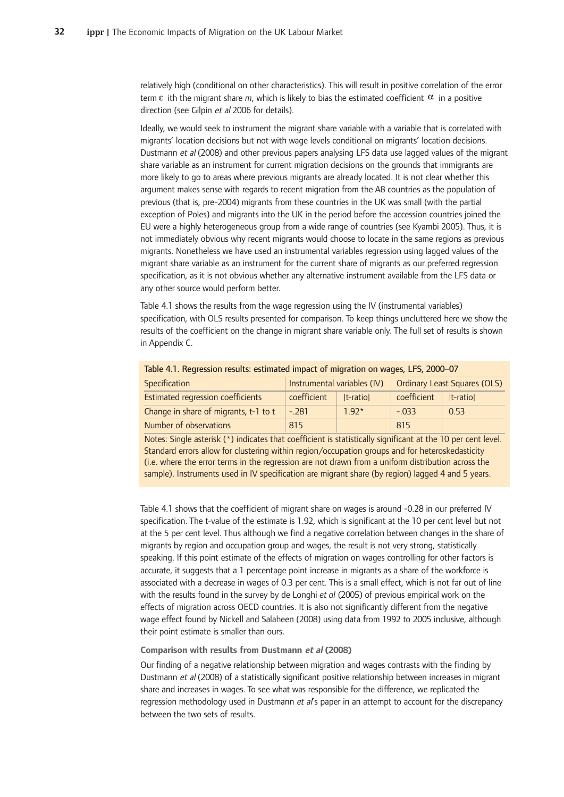relatively high (conditional on other characteristics). This will result in positive correlation of the error term  $\varepsilon$  ith the migrant share m, which is likely to bias the estimated coefficient  $\alpha$  in a positive direction (see Gilpin et al 2006 for details).

Ideally, we would seek to instrument the migrant share variable with a variable that is correlated with migrants' location decisions but not with wage levels conditional on migrants' location decisions. Dustmann et al (2008) and other previous papers analysing LFS data use lagged values of the migrant share variable as an instrument for current migration decisions on the grounds that immigrants are more likely to go to areas where previous migrants are already located. It is not clear whether this argument makes sense with regards to recent migration from the A8 countries as the population of previous (that is, pre-2004) migrants from these countries in the UK was small (with the partial exception of Poles) and migrants into the UK in the period before the accession countries joined the EU were a highly heterogeneous group from a wide range of countries (see Kyambi 2005). Thus, it is not immediately obvious why recent migrants would choose to locate in the same regions as previous migrants. Nonetheless we have used an instrumental variables regression using lagged values of the migrant share variable as an instrument for the current share of migrants as our preferred regression specification, as it is not obvious whether any alternative instrument available from the LFS data or any other source would perform better.

Table 4.1 shows the results from the wage regression using the IV (instrumental variables) specification, with OLS results presented for comparison. To keep things uncluttered here we show the results of the coefficient on the change in migrant share variable only. The full set of results is shown in Appendix C.

| Table 4.1. Regression results. estimated impact of iniqiation on wages, LFS, 2000–07 |                             |              |                                     |              |  |  |
|--------------------------------------------------------------------------------------|-----------------------------|--------------|-------------------------------------|--------------|--|--|
| Specification                                                                        | Instrumental variables (IV) |              | <b>Ordinary Least Squares (OLS)</b> |              |  |  |
| Estimated regression coefficients                                                    | coefficient                 | $ t$ -ratiol | coefficient                         | $ t$ -ratiol |  |  |
| Change in share of migrants, t-1 to t                                                | $-.281$                     | $1.92*$      | $-033$                              | 0.53         |  |  |
| Number of observations                                                               | 815                         |              | 815                                 |              |  |  |

Table 4.1. Regression results: estimated impact of migration on wages, LFS, 2000-07

Notes: Single asterisk (\*) indicates that coefficient is statistically significant at the 10 per cent level. Standard errors allow for clustering within region/occupation groups and for heteroskedasticity (i.e. where the error terms in the regression are not drawn from a uniform distribution across the sample). Instruments used in IV specification are migrant share (by region) lagged 4 and 5 years.

Table 4.1 shows that the coefficient of migrant share on wages is around -0.28 in our preferred IV specification. The t-value of the estimate is 1.92, which is significant at the 10 per cent level but not at the 5 per cent level. Thus although we find a negative correlation between changes in the share of migrants by region and occupation group and wages, the result is not very strong, statistically speaking. If this point estimate of the effects of migration on wages controlling for other factors is accurate, it suggests that a 1 percentage point increase in migrants as a share of the workforce is associated with a decrease in wages of 0.3 per cent. This is a small effect, which is not far out of line with the results found in the survey by de Longhi *et al* (2005) of previous empirical work on the effects of migration across OECD countries. It is also not significantly different from the negative wage effect found by Nickell and Salaheen (2008) using data from 1992 to 2005 inclusive, although their point estimate is smaller than ours.

#### **Comparison with results from Dustmann et al (2008)**

Our finding of a negative relationship between migration and wages contrasts with the finding by Dustmann et al (2008) of a statistically significant positive relationship between increases in migrant share and increases in wages. To see what was responsible for the difference, we replicated the regression methodology used in Dustmann et al's paper in an attempt to account for the discrepancy between the two sets of results.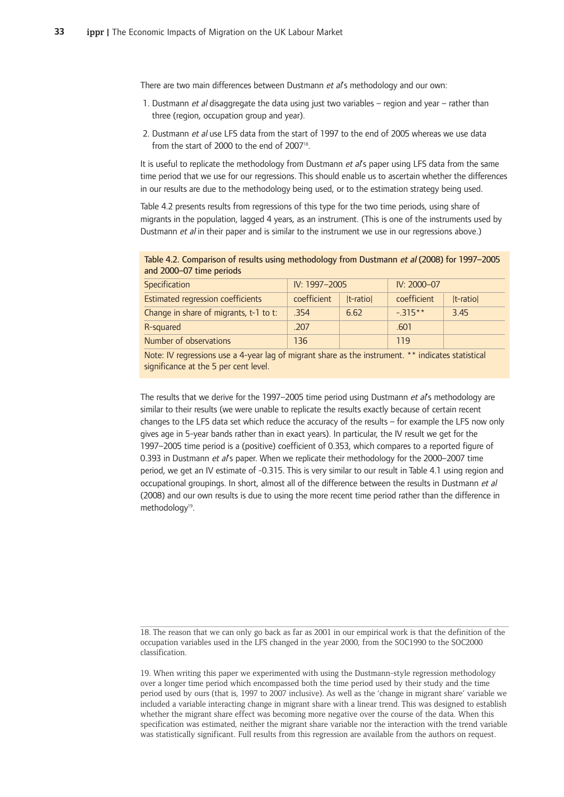There are two main differences between Dustmann et al's methodology and our own:

- 1. Dustmann et al disaggregate the data using just two variables region and year rather than three (region, occupation group and year).
- 2. Dustmann et al use LFS data from the start of 1997 to the end of 2005 whereas we use data from the start of 2000 to the end of 2007<sup>18</sup>.

It is useful to replicate the methodology from Dustmann et al's paper using LFS data from the same time period that we use for our regressions. This should enable us to ascertain whether the differences in our results are due to the methodology being used, or to the estimation strategy being used.

Table 4.2 presents results from regressions of this type for the two time periods, using share of migrants in the population, lagged 4 years, as an instrument. (This is one of the instruments used by Dustmann et al in their paper and is similar to the instrument we use in our regressions above.)

Table 4.2. Comparison of results using methodology from Dustmann et al (2008) for 1997–2005 and 2000-07 time periods

| Specification                          | IV: 1997-2005 |              | IV: 2000-07 |              |
|----------------------------------------|---------------|--------------|-------------|--------------|
| Estimated regression coefficients      | coefficient   | $ t$ -ratiol | coefficient | $ t$ -ratiol |
| Change in share of migrants, t-1 to t: | .354          | 6.62         | $-315**$    | 3.45         |
| R-squared                              | .207          |              | .601        |              |
| Number of observations                 | 136           |              | 119         |              |

Note: IV regressions use a 4-year lag of migrant share as the instrument. \*\* indicates statistical significance at the 5 per cent level.

The results that we derive for the 1997–2005 time period using Dustmann et al's methodology are similar to their results (we were unable to replicate the results exactly because of certain recent changes to the LFS data set which reduce the accuracy of the results  $-$  for example the LFS now only gives age in 5-year bands rather than in exact years). In particular, the IV result we get for the 1997–2005 time period is a (positive) coefficient of 0.353, which compares to a reported figure of 0.393 in Dustmann et al's paper. When we replicate their methodology for the 2000–2007 time period, we get an IV estimate of -0.315. This is very similar to our result in Table 4.1 using region and occupational groupings. In short, almost all of the difference between the results in Dustmann et al (2008) and our own results is due to using the more recent time period rather than the difference in methodology<sup>19</sup>.

19. When writing this paper we experimented with using the Dustmann-style regression methodology over a longer time period which encompassed both the time period used by their study and the time period used by ours (that is, 1997 to 2007 inclusive). As well as the 'change in migrant share' variable we included a variable interacting change in migrant share with a linear trend. This was designed to establish whether the migrant share effect was becoming more negative over the course of the data. When this specification was estimated, neither the migrant share variable nor the interaction with the trend variable was statistically significant. Full results from this regression are available from the authors on request.

<sup>18.</sup> The reason that we can only go back as far as 2001 in our empirical work is that the definition of the occupation variables used in the LFS changed in the year 2000, from the SOC1990 to the SOC2000 classification.-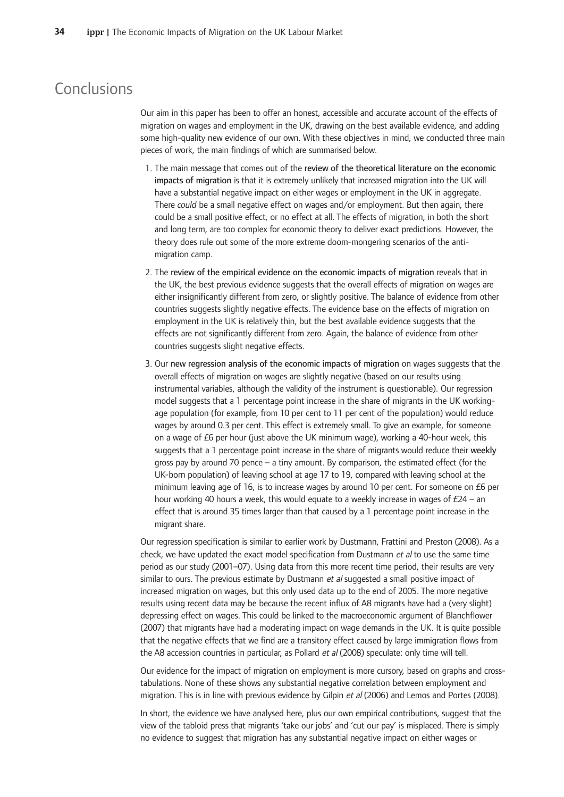### Conclusions

Our aim in this paper has been to offer an honest, accessible and accurate account of the effects of migration on wages and employment in the UK, drawing on the best available evidence, and adding some high-quality new evidence of our own. With these objectives in mind, we conducted three main pieces of work, the main findings of which are summarised below.

- 1. The main message that comes out of the review of the theoretical literature on the economic impacts of migration is that it is extremely unlikely that increased migration into the UK will have a substantial negative impact on either wages or employment in the UK in aggregate. There could be a small negative effect on wages and/or employment. But then again, there could be a small positive effect, or no effect at all. The effects of migration, in both the short and long term, are too complex for economic theory to deliver exact predictions. However, the theory does rule out some of the more extreme doom-mongering scenarios of the antimigration camp.
- 2. The review of the empirical evidence on the economic impacts of migration reveals that in the UK, the best previous evidence suggests that the overall effects of migration on wages are either insignificantly different from zero, or slightly positive. The balance of evidence from other countries suggests slightly negative effects. The evidence base on the effects of migration on employment in the UK is relatively thin, but the best available evidence suggests that the effects are not significantly different from zero. Again, the balance of evidence from other countries suggests slight negative effects.
- 3. Our new regression analysis of the economic impacts of migration on wages suggests that the overall effects of migration on wages are slightly negative (based on our results using instrumental variables, although the validity of the instrument is questionable). Our regression model suggests that a 1 percentage point increase in the share of migrants in the UK workingage population (for example, from 10 per cent to 11 per cent of the population) would reduce wages by around 0.3 per cent. This effect is extremely small. To give an example, for someone on a wage of £6 per hour (just above the UK minimum wage), working a 40-hour week, this suggests that a 1 percentage point increase in the share of migrants would reduce their weekly gross pay by around 70 pence – a tiny amount. By comparison, the estimated effect (for the UK-born population) of leaving school at age 17 to 19, compared with leaving school at the minimum leaving age of 16, is to increase wages by around 10 per cent. For someone on £6 per hour working 40 hours a week, this would equate to a weekly increase in wages of £24 – an effect that is around 35 times larger than that caused by a 1 percentage point increase in the migrant share.

Our regression specification is similar to earlier work by Dustmann, Frattini and Preston (2008). As a check, we have updated the exact model specification from Dustmann et al to use the same time period as our study (2001–07). Using data from this more recent time period, their results are very similar to ours. The previous estimate by Dustmann *et al* suggested a small positive impact of increased migration on wages, but this only used data up to the end of 2005. The more negative results using recent data may be because the recent influx of A8 migrants have had a (very slight) depressing effect on wages. This could be linked to the macroeconomic argument of Blanchflower (2007) that migrants have had a moderating impact on wage demands in the UK. It is quite possible that the negative effects that we find are a transitory effect caused by large immigration flows from the A8 accession countries in particular, as Pollard et al (2008) speculate: only time will tell.

Our evidence for the impact of migration on employment is more cursory, based on graphs and crosstabulations. None of these shows any substantial negative correlation between employment and migration. This is in line with previous evidence by Gilpin et al (2006) and Lemos and Portes (2008).

In short, the evidence we have analysed here, plus our own empirical contributions, suggest that the view of the tabloid press that migrants 'take our jobs' and 'cut our pay' is misplaced. There is simply no evidence to suggest that migration has any substantial negative impact on either wages or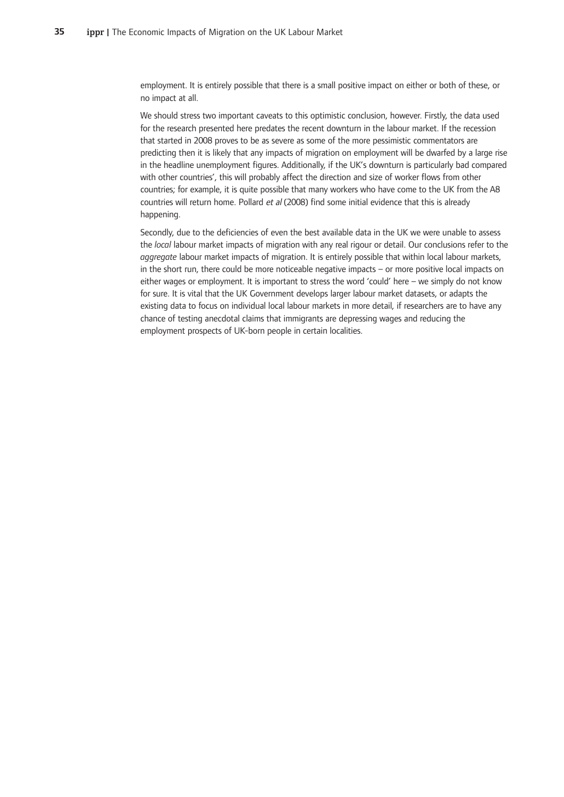employment. It is entirely possible that there is a small positive impact on either or both of these, or no impact at all.

We should stress two important caveats to this optimistic conclusion, however. Firstly, the data used for the research presented here predates the recent downturn in the labour market. If the recession that started in 2008 proves to be as severe as some of the more pessimistic commentators are predicting then it is likely that any impacts of migration on employment will be dwarfed by a large rise in the headline unemployment figures. Additionally, if the UK's downturn is particularly bad compared with other countries', this will probably affect the direction and size of worker flows from other countries; for example, it is quite possible that many workers who have come to the UK from the A8 countries will return home. Pollard et al (2008) find some initial evidence that this is already happening.

Secondly, due to the deficiencies of even the best available data in the UK we were unable to assess the *local* labour market impacts of migration with any real rigour or detail. Our conclusions refer to the aggregate labour market impacts of migration. It is entirely possible that within local labour markets, in the short run, there could be more noticeable negative impacts - or more positive local impacts on either wages or employment. It is important to stress the word 'could' here - we simply do not know for sure. It is vital that the UK Government develops larger labour market datasets, or adapts the existing data to focus on individual local labour markets in more detail, if researchers are to have any chance of testing anecdotal claims that immigrants are depressing wages and reducing the employment prospects of UK-born people in certain localities.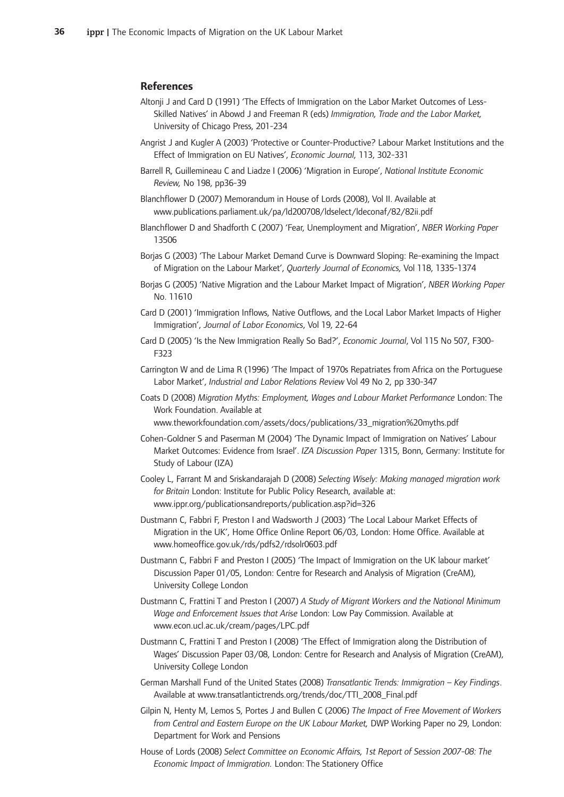#### **References**

- Altonji J and Card D (1991) 'The Effects of Immigration on the Labor Market Outcomes of Less-Skilled Natives' in Abowd J and Freeman R (eds) Immigration, Trade and the Labor Market, University of Chicago Press, 201-234
- Angrist J and Kugler A (2003) 'Protective or Counter-Productive? Labour Market Institutions and the Effect of Immigration on EU Natives', *Economic Journal*, 113, 302-331
- Barrell R, Guillemineau C and Liadze I (2006) 'Migration in Europe', National Institute Economic *Review,-*No-198,-pp36-39
- Blanchflower D (2007) Memorandum in House of Lords (2008), Vol II. Available at www.publications.parliament.uk/pa/ld200708/ldselect/ldeconaf/82/82ii.pdf
- Blanchflower D and Shadforth C (2007) 'Fear, Unemployment and Migration', NBER Working Paper 13506-
- Borjas G (2003) 'The Labour Market Demand Curve is Downward Sloping: Re-examining the Impact of Migration on the Labour Market', Quarterly Journal of Economics, Vol 118, 1335-1374
- Borjas G (2005) 'Native Migration and the Labour Market Impact of Migration', NBER Working Paper No.-11610
- Card D (2001) 'Immigration Inflows, Native Outflows, and the Local Labor Market Impacts of Higher Immigration', Journal of Labor Economics, Vol 19, 22-64
- Card D (2005) 'Is the New Immigration Really So Bad?', *Economic Journal*, Vol 115 No 507, F300-F323
- Carrington W and de Lima R (1996) 'The Impact of 1970s Repatriates from Africa on the Portuguese Labor Market', Industrial and Labor Relations Review Vol 49 No 2, pp 330-347
- Coats-D-(2008)-*Migration-Myths:-Employment,-Wages-and-Labour-Market-Performance* London:-The Work Foundation. Available at
	- www.theworkfoundation.com/assets/docs/publications/33\_migration%20myths.pdf
- Cohen-Goldner S and Paserman M (2004) 'The Dynamic Impact of Immigration on Natives' Labour Market Outcomes: Evidence from Israel'. IZA Discussion Paper 1315, Bonn, Germany: Institute for Study of Labour (IZA)
- Cooley L, Farrant M and Sriskandarajah D (2008) Selecting Wisely: Making managed migration work for Britain London: Institute for Public Policy Research, available at: www.ippr.org/publicationsandreports/publication.asp?id=326
- Dustmann C, Fabbri F, Preston I and Wadsworth J (2003) 'The Local Labour Market Effects of Migration in the UK', Home Office Online Report 06/03, London: Home Office. Available at www.homeoffice.gov.uk/rds/pdfs2/rdsolr0603.pdf
- Dustmann C, Fabbri F and Preston I (2005) 'The Impact of Immigration on the UK labour market' Discussion Paper 01/05, London: Centre for Research and Analysis of Migration (CreAM), University College London
- Dustmann C, Frattini T and Preston I (2007) A Study of Migrant Workers and the National Minimum Wage and Enforcement Issues that Arise London: Low Pay Commission. Available at www.econ.ucl.ac.uk/cream/pages/LPC.pdf
- Dustmann C, Frattini T and Preston I (2008) 'The Effect of Immigration along the Distribution of Wages' Discussion Paper 03/08, London: Centre for Research and Analysis of Migration (CreAM), University College London
- German-Marshall-Fund of the United States (2008) Transatlantic Trends: Immigration Key Findings. Available at www.transatlantictrends.org/trends/doc/TTI\_2008\_Final.pdf
- Gilpin N, Henty M, Lemos S, Portes J and Bullen C (2006) The Impact of Free Movement of Workers *from-Central-and-Eastern-Europe-on-the-UK-Labour-Market,-*DWP-Working-Paper-no-29,-London: Department for Work and Pensions
- House-of-Lords-(2008)-*Select-Committee-on-Economic-Affairs,-1st-Report-of-Session-2007-08:-The Economic-Impact-of-Immigration.-*London:-The-Stationery-Office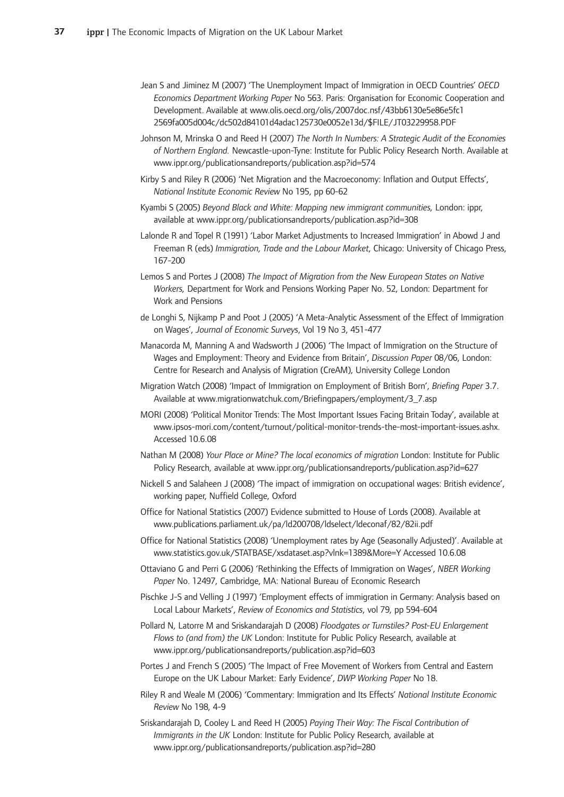- Jean S and Jiminez M (2007) 'The Unemployment Impact of Immigration in OECD Countries' OECD Economics Department Working Paper No 563. Paris: Organisation for Economic Cooperation and Development. Available at www.olis.oecd.org/olis/2007doc.nsf/43bb6130e5e86e5fc1 2569fa005d004c/dc502d84101d4adac125730e0052e13d/\$FILE/JT03229958.PDF
- Johnson-M,-Mrinska-O-and-Reed-H-(2007)-*The-North-In-Numbers:-A-Strategic-Audit-of-the-Economies* of Northern England. Newcastle-upon-Tyne: Institute for Public Policy Research North. Available at www.ippr.org/publicationsandreports/publication.asp?id=574
- Kirby S and Riley R (2006) 'Net Migration and the Macroeconomy: Inflation and Output Effects', *National-Institute-Economic-Review-*No-195,-pp-60-62
- Kyambi-S-(2005)-*Beyond-Black-and-White:-Mapping-new-immigrant-communities,* London:-ippr, available at www.ippr.org/publicationsandreports/publication.asp?id=308
- Lalonde R and Topel R (1991) 'Labor Market Adjustments to Increased Immigration' in Abowd J and Freeman R (eds) Immigration, Trade and the Labour Market, Chicago: University of Chicago Press, 167-200
- Lemos-S-and-Portes-J-(2008)-*The-Impact-of-Migration-from-the-New-European-States-on-Native* Workers, Department for Work and Pensions Working Paper No. 52, London: Department for Work-and-Pensions
- de Longhi S, Nijkamp P and Poot J (2005) 'A Meta-Analytic Assessment of the Effect of Immigration on Wages', Journal of Economic Surveys, Vol 19 No 3, 451-477
- Manacorda M, Manning A and Wadsworth J (2006) 'The Impact of Immigration on the Structure of Wages and Employment: Theory and Evidence from Britain', Discussion Paper 08/06, London: Centre for Research and Analysis of Migration (CreAM), University College London
- Migration Watch (2008) 'Impact of Immigration on Employment of British Born', Briefing Paper 3.7. Available at www.migrationwatchuk.com/Briefingpapers/employment/3\_7.asp
- MORI (2008) 'Political Monitor Trends: The Most Important Issues Facing Britain Today', available at www.ipsos-mori.com/content/turnout/political-monitor-trends-the-most-important-issues.ashx. Accessed 10.6.08
- Nathan M (2008) Your Place or Mine? The local economics of migration London: Institute for Public Policy Research, available at www.ippr.org/publicationsandreports/publication.asp?id=627
- Nickell S and Salaheen J (2008) 'The impact of immigration on occupational wages: British evidence', working paper, Nuffield College, Oxford
- Office for National Statistics (2007) Evidence submitted to House of Lords (2008). Available at www.publications.parliament.uk/pa/ld200708/ldselect/ldeconaf/82/82ii.pdf
- Office for National Statistics (2008) 'Unemployment rates by Age (Seasonally Adjusted)'. Available at www.statistics.gov.uk/STATBASE/xsdataset.asp?vlnk=1389&More=Y-Accessed-10.6.08
- Ottaviano G and Perri G (2006) 'Rethinking the Effects of Immigration on Wages', NBER Working Paper No. 12497, Cambridge, MA: National Bureau of Economic Research
- Pischke J-S and Velling J (1997) 'Employment effects of immigration in Germany: Analysis based on Local Labour Markets', Review of Economics and Statistics, vol 79, pp 594-604
- Pollard N, Latorre M and Sriskandarajah D (2008) Floodgates or Turnstiles? Post-EU Enlargement Flows to (and from) the UK London: Institute for Public Policy Research, available at www.ippr.org/publicationsandreports/publication.asp?id=603
- Portes J and French S (2005) 'The Impact of Free Movement of Workers from Central and Eastern Europe on the UK Labour Market: Early Evidence', DWP Working Paper No 18.
- Riley R and Weale M (2006) 'Commentary: Immigration and Its Effects' National Institute Economic *Review-*No-198,-4-9
- Sriskandarajah D, Cooley L and Reed H (2005) Paying Their Way: The Fiscal Contribution of Immigrants in the UK London: Institute for Public Policy Research, available at www.ippr.org/publicationsandreports/publication.asp?id=280